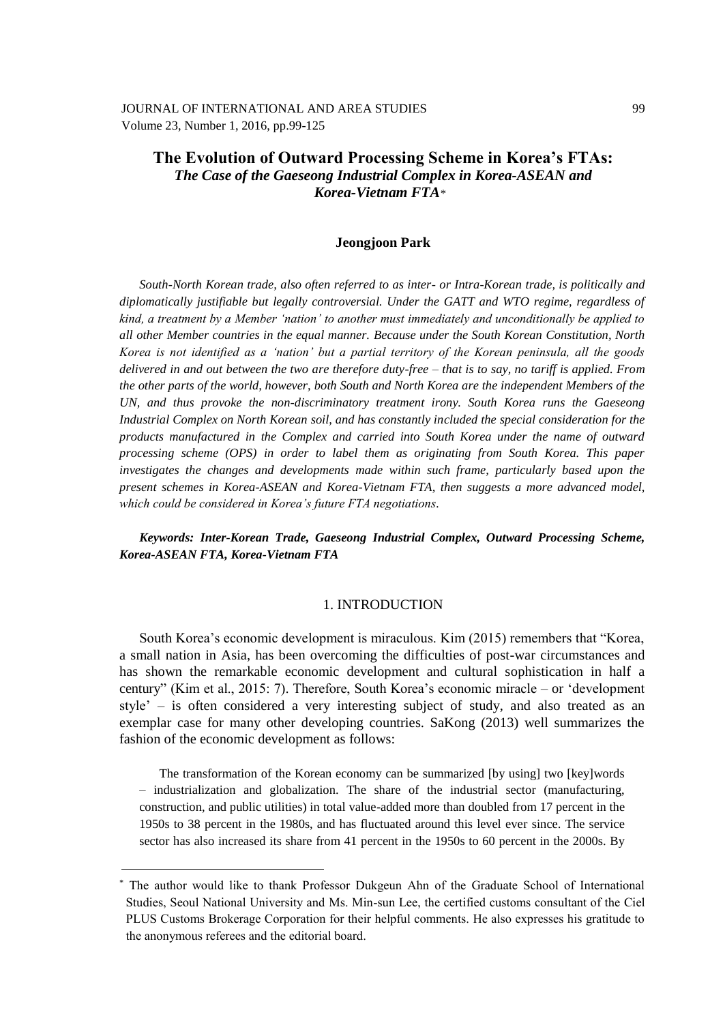JOURNAL OF INTERNATIONAL AND AREA STUDIES Volume 23, Number 1, 2016, pp.99-125

# **The Evolution of Outward Processing Scheme in Korea's FTAs:** *The Case of the Gaeseong Industrial Complex in Korea-ASEAN and Korea-Vietnam FTA\****\***

### **Jeongjoon Park**

*South-North Korean trade, also often referred to as inter- or Intra-Korean trade, is politically and diplomatically justifiable but legally controversial. Under the GATT and WTO regime, regardless of kind, a treatment by a Member 'nation' to another must immediately and unconditionally be applied to all other Member countries in the equal manner. Because under the South Korean Constitution, North Korea is not identified as a 'nation' but a partial territory of the Korean peninsula, all the goods delivered in and out between the two are therefore duty-free – that is to say, no tariff is applied. From the other parts of the world, however, both South and North Korea are the independent Members of the UN, and thus provoke the non-discriminatory treatment irony. South Korea runs the Gaeseong Industrial Complex on North Korean soil, and has constantly included the special consideration for the products manufactured in the Complex and carried into South Korea under the name of outward processing scheme (OPS) in order to label them as originating from South Korea. This paper investigates the changes and developments made within such frame, particularly based upon the present schemes in Korea-ASEAN and Korea-Vietnam FTA, then suggests a more advanced model, which could be considered in Korea's future FTA negotiations.*

*Keywords: Inter-Korean Trade, Gaeseong Industrial Complex, Outward Processing Scheme, Korea-ASEAN FTA, Korea-Vietnam FTA* 

### 1. INTRODUCTION

South Korea's economic development is miraculous. Kim (2015) remembers that "Korea, a small nation in Asia, has been overcoming the difficulties of post-war circumstances and has shown the remarkable economic development and cultural sophistication in half a century" (Kim et al., 2015: 7). Therefore, South Korea's economic miracle – or 'development style' – is often considered a very interesting subject of study, and also treated as an exemplar case for many other developing countries. SaKong (2013) well summarizes the fashion of the economic development as follows:

The transformation of the Korean economy can be summarized [by using] two [key]words – industrialization and globalization. The share of the industrial sector (manufacturing, construction, and public utilities) in total value-added more than doubled from 17 percent in the 1950s to 38 percent in the 1980s, and has fluctuated around this level ever since. The service sector has also increased its share from 41 percent in the 1950s to 60 percent in the 2000s. By

<sup>\*</sup> The author would like to thank Professor Dukgeun Ahn of the Graduate School of International Studies, Seoul National University and Ms. Min-sun Lee, the certified customs consultant of the Ciel PLUS Customs Brokerage Corporation for their helpful comments. He also expresses his gratitude to the anonymous referees and the editorial board.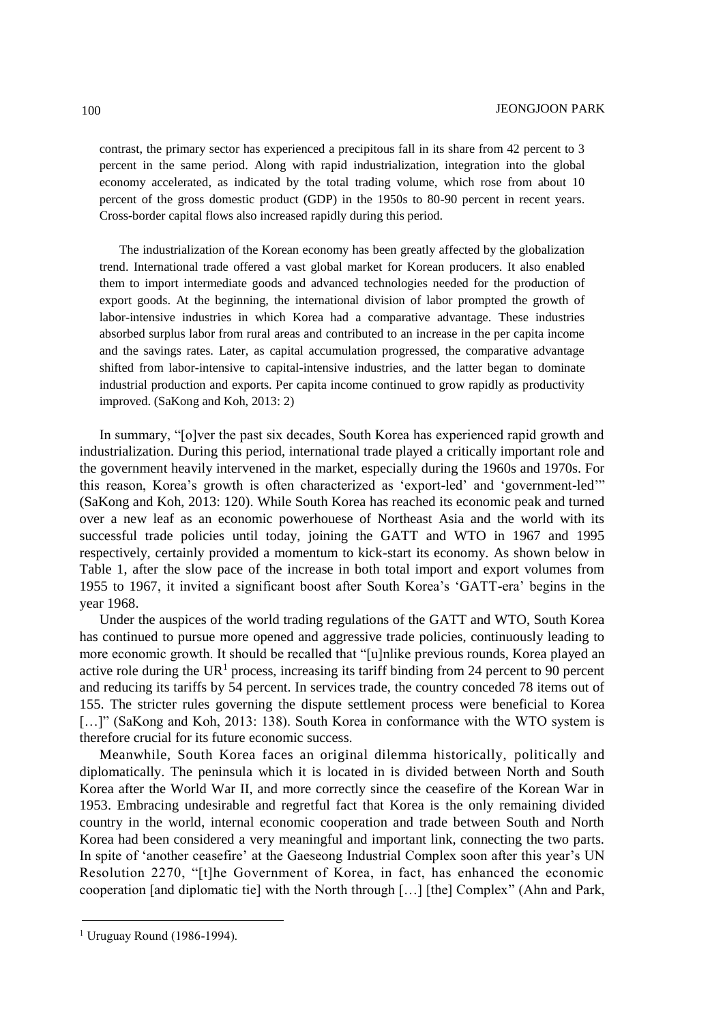contrast, the primary sector has experienced a precipitous fall in its share from 42 percent to 3 percent in the same period. Along with rapid industrialization, integration into the global economy accelerated, as indicated by the total trading volume, which rose from about 10 percent of the gross domestic product (GDP) in the 1950s to 80-90 percent in recent years. Cross-border capital flows also increased rapidly during this period.

The industrialization of the Korean economy has been greatly affected by the globalization trend. International trade offered a vast global market for Korean producers. It also enabled them to import intermediate goods and advanced technologies needed for the production of export goods. At the beginning, the international division of labor prompted the growth of labor-intensive industries in which Korea had a comparative advantage. These industries absorbed surplus labor from rural areas and contributed to an increase in the per capita income and the savings rates. Later, as capital accumulation progressed, the comparative advantage shifted from labor-intensive to capital-intensive industries, and the latter began to dominate industrial production and exports. Per capita income continued to grow rapidly as productivity improved. (SaKong and Koh, 2013: 2)

In summary, "[o]ver the past six decades, South Korea has experienced rapid growth and industrialization. During this period, international trade played a critically important role and the government heavily intervened in the market, especially during the 1960s and 1970s. For this reason, Korea's growth is often characterized as 'export-led' and 'government-led'" (SaKong and Koh, 2013: 120). While South Korea has reached its economic peak and turned over a new leaf as an economic powerhouese of Northeast Asia and the world with its successful trade policies until today, joining the GATT and WTO in 1967 and 1995 respectively, certainly provided a momentum to kick-start its economy. As shown below in Table 1, after the slow pace of the increase in both total import and export volumes from 1955 to 1967, it invited a significant boost after South Korea's 'GATT-era' begins in the year 1968.

Under the auspices of the world trading regulations of the GATT and WTO, South Korea has continued to pursue more opened and aggressive trade policies, continuously leading to more economic growth. It should be recalled that "[u]nlike previous rounds, Korea played an active role during the UR<sup>1</sup> process, increasing its tariff binding from 24 percent to 90 percent and reducing its tariffs by 54 percent. In services trade, the country conceded 78 items out of 155. The stricter rules governing the dispute settlement process were beneficial to Korea [...]" (SaKong and Koh, 2013: 138). South Korea in conformance with the WTO system is therefore crucial for its future economic success.

Meanwhile, South Korea faces an original dilemma historically, politically and diplomatically. The peninsula which it is located in is divided between North and South Korea after the World War II, and more correctly since the ceasefire of the Korean War in 1953. Embracing undesirable and regretful fact that Korea is the only remaining divided country in the world, internal economic cooperation and trade between South and North Korea had been considered a very meaningful and important link, connecting the two parts. In spite of 'another ceasefire' at the Gaeseong Industrial Complex soon after this year's UN Resolution 2270, "[t]he Government of Korea, in fact, has enhanced the economic cooperation [and diplomatic tie] with the North through […] [the] Complex" (Ahn and Park,

<sup>1</sup> Uruguay Round (1986-1994).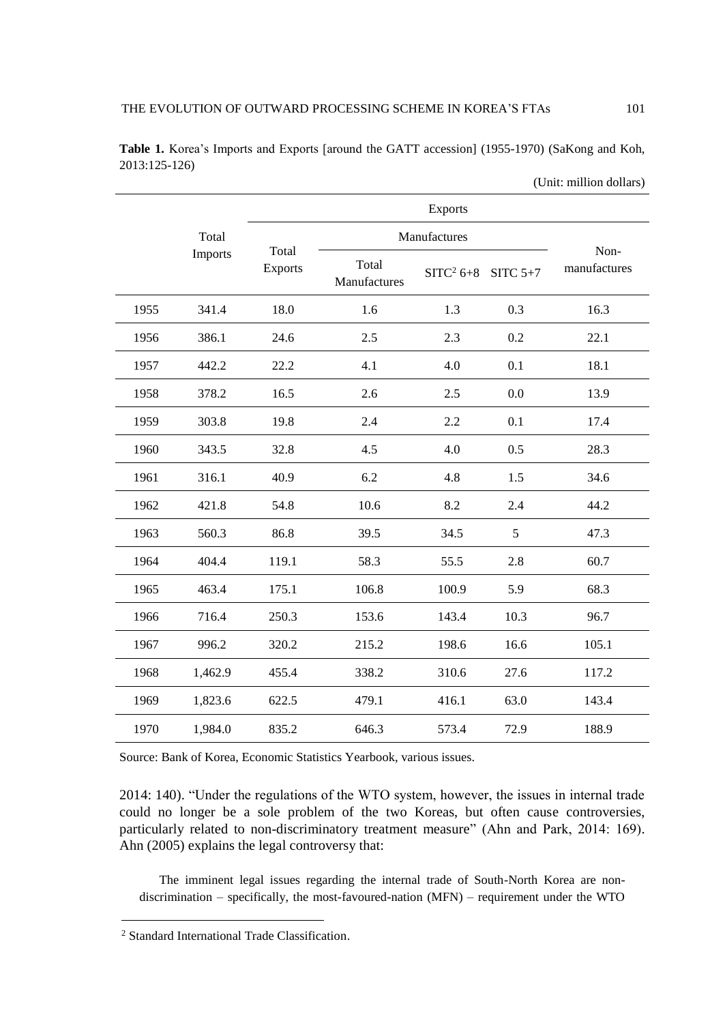|      |         |                         |                       | Exports      |            |                      |  |
|------|---------|-------------------------|-----------------------|--------------|------------|----------------------|--|
|      | Total   |                         |                       | Manufactures |            |                      |  |
|      | Imports | Total<br><b>Exports</b> | Total<br>Manufactures | $SITC2 6+8$  | SITC $5+7$ | Non-<br>manufactures |  |
| 1955 | 341.4   | 18.0                    | 1.6                   | 1.3          | 0.3        | 16.3                 |  |
| 1956 | 386.1   | 24.6                    | 2.5                   | 2.3          | 0.2        | 22.1                 |  |
| 1957 | 442.2   | 22.2                    | 4.1                   | 4.0          | 0.1        | 18.1                 |  |
| 1958 | 378.2   | 16.5                    | 2.6                   | 2.5          | 0.0        | 13.9                 |  |
| 1959 | 303.8   | 19.8                    | 2.4                   | 2.2          | 0.1        | 17.4                 |  |
| 1960 | 343.5   | 32.8                    | 4.5                   | 4.0          | 0.5        | 28.3                 |  |
| 1961 | 316.1   | 40.9                    | 6.2                   | 4.8          | 1.5        | 34.6                 |  |
| 1962 | 421.8   | 54.8                    | 10.6                  | 8.2          | 2.4        | 44.2                 |  |
| 1963 | 560.3   | 86.8                    | 39.5                  | 34.5         | 5          | 47.3                 |  |
| 1964 | 404.4   | 119.1                   | 58.3                  | 55.5         | 2.8        | 60.7                 |  |
| 1965 | 463.4   | 175.1                   | 106.8                 | 100.9        | 5.9        | 68.3                 |  |
| 1966 | 716.4   | 250.3                   | 153.6                 | 143.4        | 10.3       | 96.7                 |  |
| 1967 | 996.2   | 320.2                   | 215.2                 | 198.6        | 16.6       | 105.1                |  |
| 1968 | 1,462.9 | 455.4                   | 338.2                 | 310.6        | 27.6       | 117.2                |  |
| 1969 | 1,823.6 | 622.5                   | 479.1                 | 416.1        | 63.0       | 143.4                |  |
| 1970 | 1,984.0 | 835.2                   | 646.3                 | 573.4        | 72.9       | 188.9                |  |

**Table 1.** Korea's Imports and Exports [around the GATT accession] (1955-1970) (SaKong and Koh, 2013:125-126)

Source: Bank of Korea, Economic Statistics Yearbook, various issues.

2014: 140). "Under the regulations of the WTO system, however, the issues in internal trade could no longer be a sole problem of the two Koreas, but often cause controversies, particularly related to non-discriminatory treatment measure" (Ahn and Park, 2014: 169). Ahn (2005) explains the legal controversy that:

The imminent legal issues regarding the internal trade of South-North Korea are nondiscrimination – specifically, the most-favoured-nation (MFN) – requirement under the WTO

l

(Unit: million dollars)

<sup>2</sup> Standard International Trade Classification.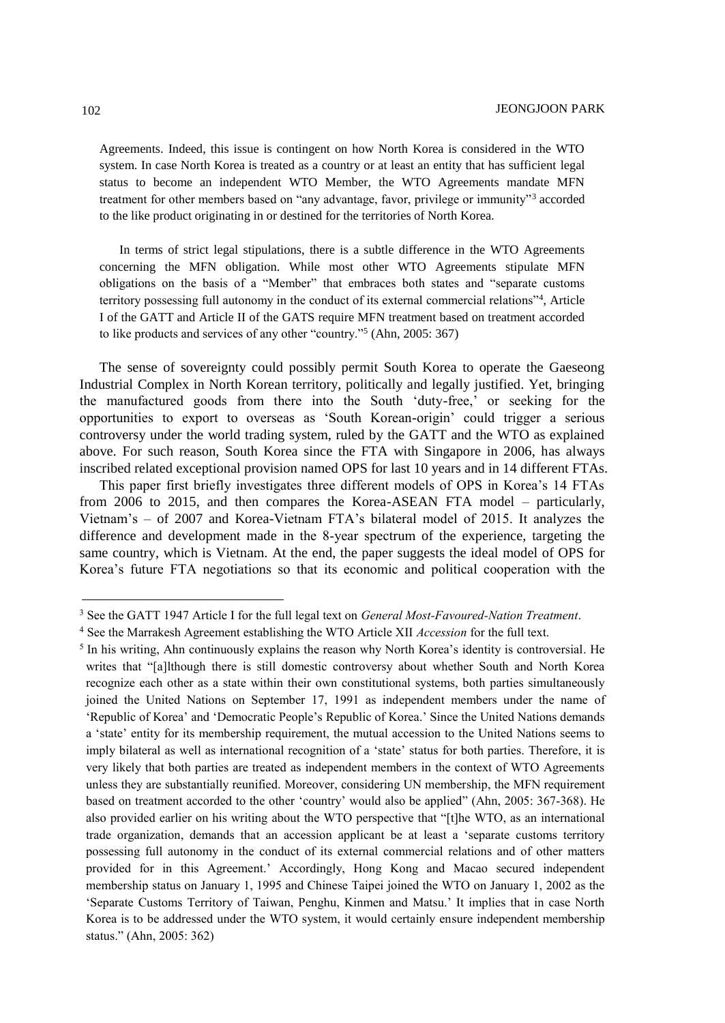Agreements. Indeed, this issue is contingent on how North Korea is considered in the WTO system. In case North Korea is treated as a country or at least an entity that has sufficient legal status to become an independent WTO Member, the WTO Agreements mandate MFN treatment for other members based on "any advantage, favor, privilege or immunity"<sup>3</sup> accorded to the like product originating in or destined for the territories of North Korea.

In terms of strict legal stipulations, there is a subtle difference in the WTO Agreements concerning the MFN obligation. While most other WTO Agreements stipulate MFN obligations on the basis of a "Member" that embraces both states and "separate customs territory possessing full autonomy in the conduct of its external commercial relations"<sup>4</sup> , Article I of the GATT and Article II of the GATS require MFN treatment based on treatment accorded to like products and services of any other "country."<sup>5</sup> (Ahn, 2005: 367)

The sense of sovereignty could possibly permit South Korea to operate the Gaeseong Industrial Complex in North Korean territory, politically and legally justified. Yet, bringing the manufactured goods from there into the South 'duty-free,' or seeking for the opportunities to export to overseas as 'South Korean-origin' could trigger a serious controversy under the world trading system, ruled by the GATT and the WTO as explained above. For such reason, South Korea since the FTA with Singapore in 2006, has always inscribed related exceptional provision named OPS for last 10 years and in 14 different FTAs.

This paper first briefly investigates three different models of OPS in Korea's 14 FTAs from 2006 to 2015, and then compares the Korea-ASEAN FTA model – particularly, Vietnam's – of 2007 and Korea-Vietnam FTA's bilateral model of 2015. It analyzes the difference and development made in the 8-year spectrum of the experience, targeting the same country, which is Vietnam. At the end, the paper suggests the ideal model of OPS for Korea's future FTA negotiations so that its economic and political cooperation with the

<sup>3</sup> See the GATT 1947 Article I for the full legal text on *General Most-Favoured-Nation Treatment*.

<sup>4</sup> See the Marrakesh Agreement establishing the WTO Article XII *Accession* for the full text.

<sup>&</sup>lt;sup>5</sup> In his writing, Ahn continuously explains the reason why North Korea's identity is controversial. He writes that "[a]lthough there is still domestic controversy about whether South and North Korea recognize each other as a state within their own constitutional systems, both parties simultaneously joined the United Nations on September 17, 1991 as independent members under the name of 'Republic of Korea' and 'Democratic People's Republic of Korea.' Since the United Nations demands a 'state' entity for its membership requirement, the mutual accession to the United Nations seems to imply bilateral as well as international recognition of a 'state' status for both parties. Therefore, it is very likely that both parties are treated as independent members in the context of WTO Agreements unless they are substantially reunified. Moreover, considering UN membership, the MFN requirement based on treatment accorded to the other 'country' would also be applied" (Ahn, 2005: 367-368). He also provided earlier on his writing about the WTO perspective that "[t]he WTO, as an international trade organization, demands that an accession applicant be at least a 'separate customs territory possessing full autonomy in the conduct of its external commercial relations and of other matters provided for in this Agreement.' Accordingly, Hong Kong and Macao secured independent membership status on January 1, 1995 and Chinese Taipei joined the WTO on January 1, 2002 as the 'Separate Customs Territory of Taiwan, Penghu, Kinmen and Matsu.' It implies that in case North Korea is to be addressed under the WTO system, it would certainly ensure independent membership status." (Ahn, 2005: 362)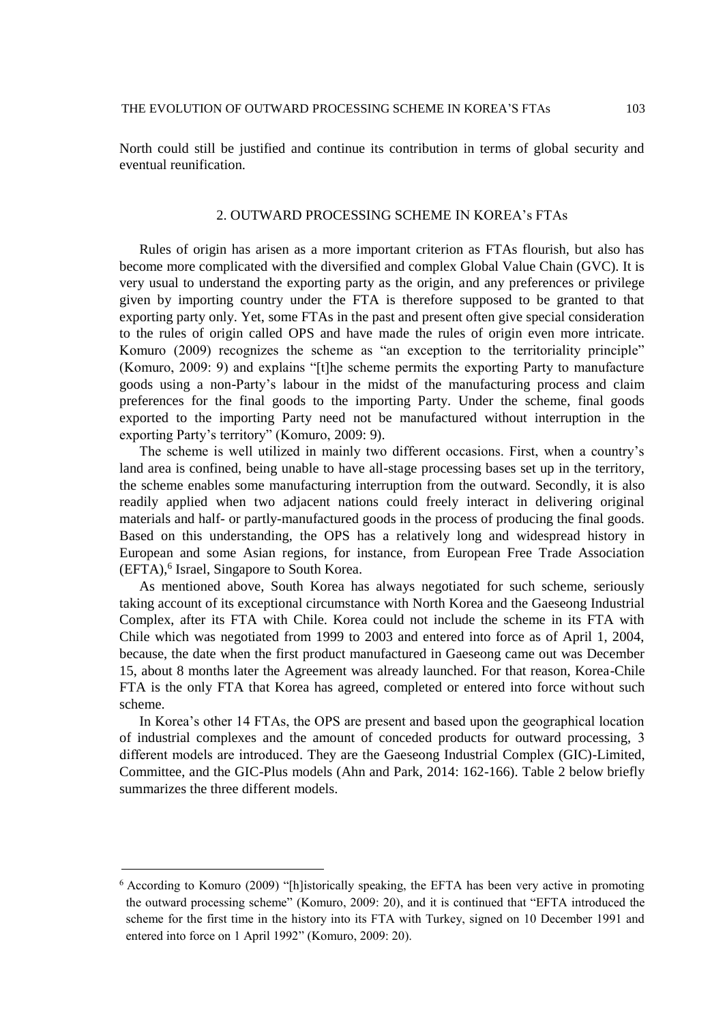North could still be justified and continue its contribution in terms of global security and eventual reunification.

### 2. OUTWARD PROCESSING SCHEME IN KOREA's FTAs

Rules of origin has arisen as a more important criterion as FTAs flourish, but also has become more complicated with the diversified and complex Global Value Chain (GVC). It is very usual to understand the exporting party as the origin, and any preferences or privilege given by importing country under the FTA is therefore supposed to be granted to that exporting party only. Yet, some FTAs in the past and present often give special consideration to the rules of origin called OPS and have made the rules of origin even more intricate. Komuro (2009) recognizes the scheme as "an exception to the territoriality principle" (Komuro, 2009: 9) and explains "[t]he scheme permits the exporting Party to manufacture goods using a non-Party's labour in the midst of the manufacturing process and claim preferences for the final goods to the importing Party. Under the scheme, final goods exported to the importing Party need not be manufactured without interruption in the exporting Party's territory" (Komuro, 2009: 9).

The scheme is well utilized in mainly two different occasions. First, when a country's land area is confined, being unable to have all-stage processing bases set up in the territory, the scheme enables some manufacturing interruption from the outward. Secondly, it is also readily applied when two adjacent nations could freely interact in delivering original materials and half- or partly-manufactured goods in the process of producing the final goods. Based on this understanding, the OPS has a relatively long and widespread history in European and some Asian regions, for instance, from European Free Trade Association (EFTA), 6 Israel, Singapore to South Korea.

As mentioned above, South Korea has always negotiated for such scheme, seriously taking account of its exceptional circumstance with North Korea and the Gaeseong Industrial Complex, after its FTA with Chile. Korea could not include the scheme in its FTA with Chile which was negotiated from 1999 to 2003 and entered into force as of April 1, 2004, because, the date when the first product manufactured in Gaeseong came out was December 15, about 8 months later the Agreement was already launched. For that reason, Korea-Chile FTA is the only FTA that Korea has agreed, completed or entered into force without such scheme.

In Korea's other 14 FTAs, the OPS are present and based upon the geographical location of industrial complexes and the amount of conceded products for outward processing, 3 different models are introduced. They are the Gaeseong Industrial Complex (GIC)-Limited, Committee, and the GIC-Plus models (Ahn and Park, 2014: 162-166). Table 2 below briefly summarizes the three different models.

<sup>6</sup> According to Komuro (2009) "[h]istorically speaking, the EFTA has been very active in promoting the outward processing scheme" (Komuro, 2009: 20), and it is continued that "EFTA introduced the scheme for the first time in the history into its FTA with Turkey, signed on 10 December 1991 and entered into force on 1 April 1992" (Komuro, 2009: 20).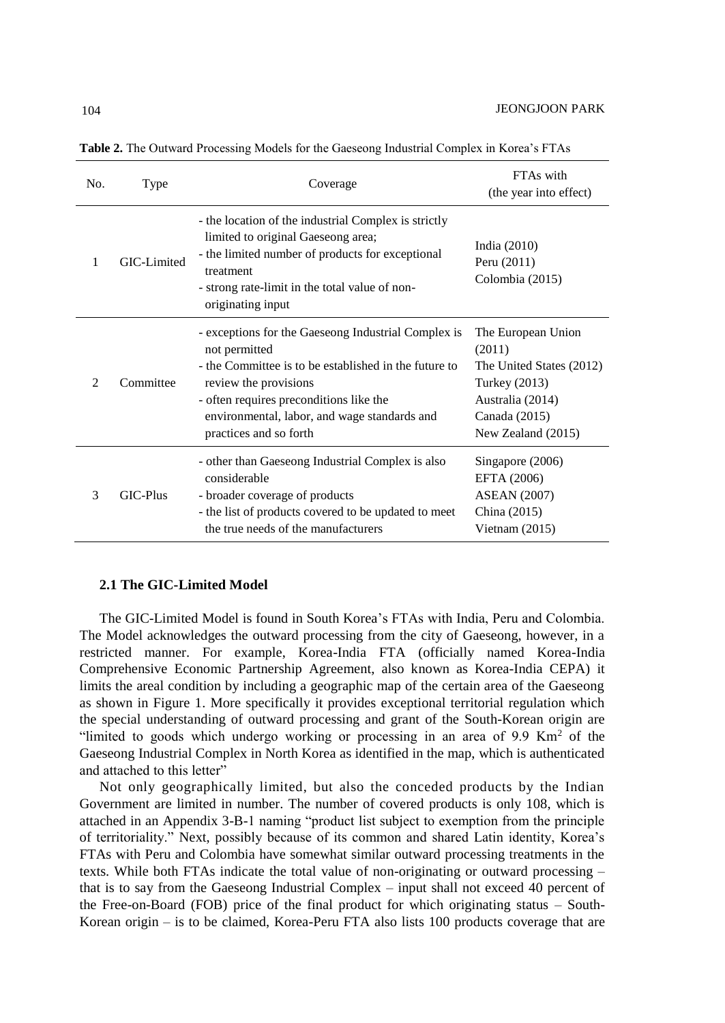| No. | <b>Type</b> | Coverage                                                                                                                                                                                                                                                                    | FTA <sub>s</sub> with<br>(the year into effect)                                                                                      |
|-----|-------------|-----------------------------------------------------------------------------------------------------------------------------------------------------------------------------------------------------------------------------------------------------------------------------|--------------------------------------------------------------------------------------------------------------------------------------|
| 1   | GIC-Limited | - the location of the industrial Complex is strictly<br>limited to original Gaeseong area;<br>- the limited number of products for exceptional<br>treatment<br>- strong rate-limit in the total value of non-<br>originating input                                          | India $(2010)$<br>Peru (2011)<br>Colombia (2015)                                                                                     |
| 2   | Committee   | - exceptions for the Gaeseong Industrial Complex is<br>not permitted<br>- the Committee is to be established in the future to<br>review the provisions<br>- often requires preconditions like the<br>environmental, labor, and wage standards and<br>practices and so forth | The European Union<br>(2011)<br>The United States (2012)<br>Turkey (2013)<br>Australia (2014)<br>Canada (2015)<br>New Zealand (2015) |
| 3   | GIC-Plus    | - other than Gaeseong Industrial Complex is also<br>considerable<br>- broader coverage of products<br>- the list of products covered to be updated to meet<br>the true needs of the manufacturers                                                                           | Singapore (2006)<br>EFTA (2006)<br><b>ASEAN</b> (2007)<br>China (2015)<br>Vietnam $(2015)$                                           |

**Table 2.** The Outward Processing Models for the Gaeseong Industrial Complex in Korea's FTAs

## **2.1 The GIC-Limited Model**

The GIC-Limited Model is found in South Korea's FTAs with India, Peru and Colombia. The Model acknowledges the outward processing from the city of Gaeseong, however, in a restricted manner. For example, Korea-India FTA (officially named Korea-India Comprehensive Economic Partnership Agreement, also known as Korea-India CEPA) it limits the areal condition by including a geographic map of the certain area of the Gaeseong as shown in Figure 1. More specifically it provides exceptional territorial regulation which the special understanding of outward processing and grant of the South-Korean origin are "limited to goods which undergo working or processing in an area of 9.9 Km<sup>2</sup> of the Gaeseong Industrial Complex in North Korea as identified in the map, which is authenticated and attached to this letter"

Not only geographically limited, but also the conceded products by the Indian Government are limited in number. The number of covered products is only 108, which is attached in an Appendix 3-B-1 naming "product list subject to exemption from the principle of territoriality." Next, possibly because of its common and shared Latin identity, Korea's FTAs with Peru and Colombia have somewhat similar outward processing treatments in the texts. While both FTAs indicate the total value of non-originating or outward processing – that is to say from the Gaeseong Industrial Complex – input shall not exceed 40 percent of the Free-on-Board (FOB) price of the final product for which originating status – South-Korean origin – is to be claimed, Korea-Peru FTA also lists 100 products coverage that are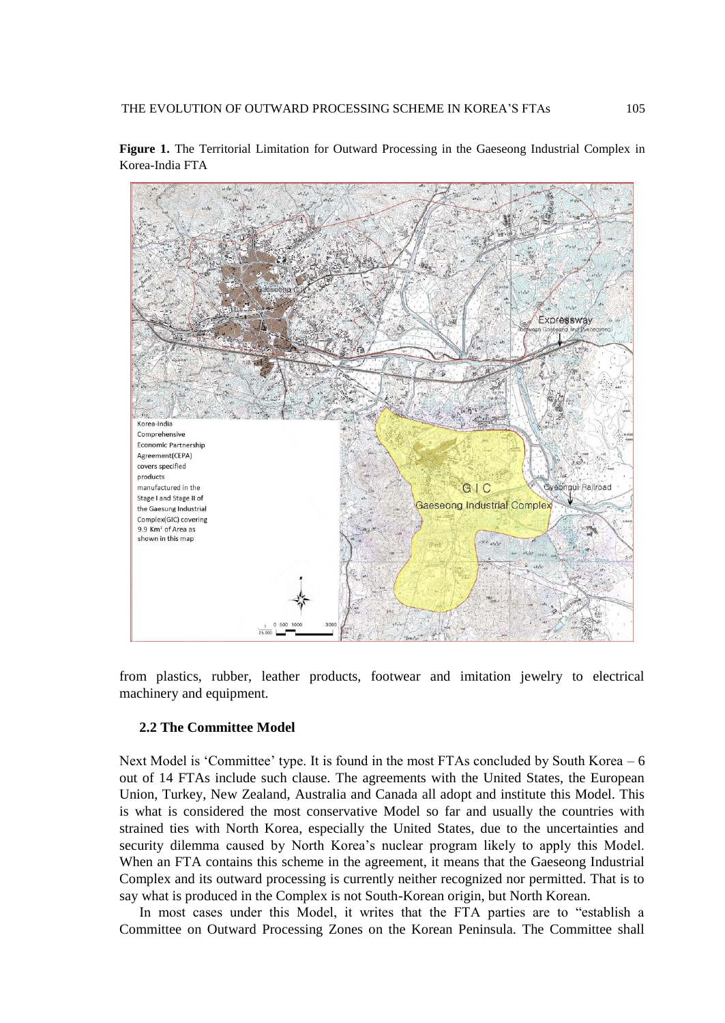Expressway Korea-India Comprehensive Economic Partnership Agreement(CEPA) covers specified products gui Railroad manufactured in the GIC Stage I and Stage II of **Gaeseong Industrial Complex** the Gaesung Industrial Complex(GIC) covering 9.9 Km<sup>2</sup> of Area as shown in this map

**Figure 1.** The Territorial Limitation for Outward Processing in the Gaeseong Industrial Complex in Korea-India FTA

from plastics, rubber, leather products, footwear and imitation jewelry to electrical machinery and equipment.

### **2.2 The Committee Model**

Next Model is 'Committee' type. It is found in the most FTAs concluded by South Korea – 6 out of 14 FTAs include such clause. The agreements with the United States, the European Union, Turkey, New Zealand, Australia and Canada all adopt and institute this Model. This is what is considered the most conservative Model so far and usually the countries with strained ties with North Korea, especially the United States, due to the uncertainties and security dilemma caused by North Korea's nuclear program likely to apply this Model. When an FTA contains this scheme in the agreement, it means that the Gaeseong Industrial Complex and its outward processing is currently neither recognized nor permitted. That is to say what is produced in the Complex is not South-Korean origin, but North Korean.

In most cases under this Model, it writes that the FTA parties are to "establish a Committee on Outward Processing Zones on the Korean Peninsula. The Committee shall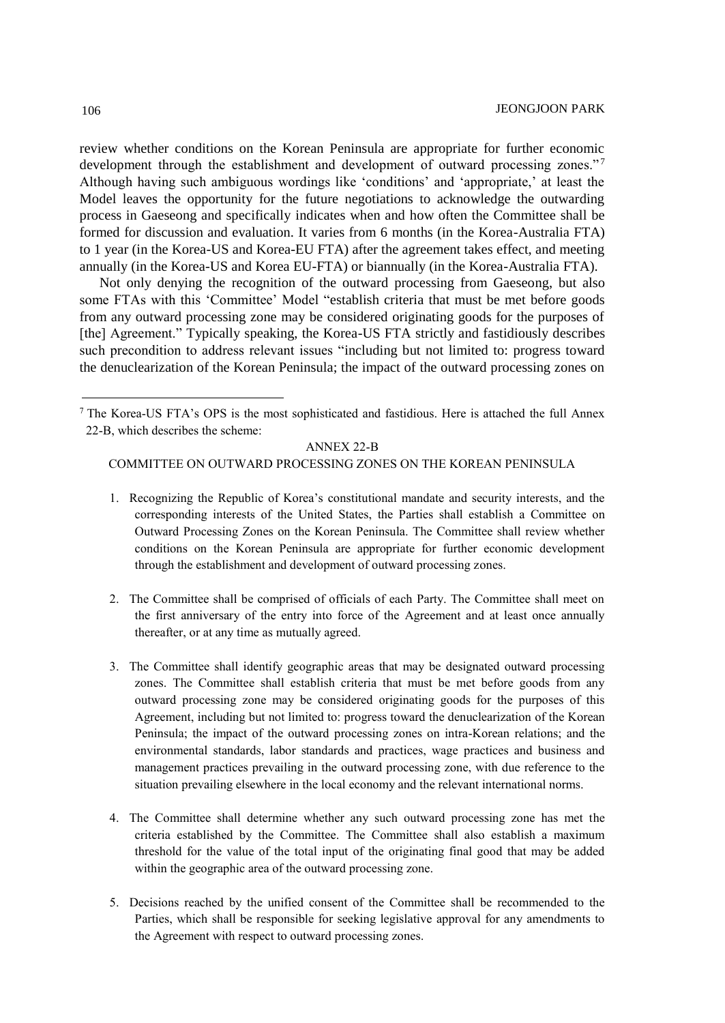review whether conditions on the Korean Peninsula are appropriate for further economic development through the establishment and development of outward processing zones."<sup>7</sup> Although having such ambiguous wordings like 'conditions' and 'appropriate,' at least the Model leaves the opportunity for the future negotiations to acknowledge the outwarding process in Gaeseong and specifically indicates when and how often the Committee shall be formed for discussion and evaluation. It varies from 6 months (in the Korea-Australia FTA) to 1 year (in the Korea-US and Korea-EU FTA) after the agreement takes effect, and meeting annually (in the Korea-US and Korea EU-FTA) or biannually (in the Korea-Australia FTA).

Not only denying the recognition of the outward processing from Gaeseong, but also some FTAs with this 'Committee' Model "establish criteria that must be met before goods from any outward processing zone may be considered originating goods for the purposes of [the] Agreement." Typically speaking, the Korea-US FTA strictly and fastidiously describes such precondition to address relevant issues "including but not limited to: progress toward the denuclearization of the Korean Peninsula; the impact of the outward processing zones on

#### ANNEX 22-B

### COMMITTEE ON OUTWARD PROCESSING ZONES ON THE KOREAN PENINSULA

- 1. Recognizing the Republic of Korea's constitutional mandate and security interests, and the corresponding interests of the United States, the Parties shall establish a Committee on Outward Processing Zones on the Korean Peninsula. The Committee shall review whether conditions on the Korean Peninsula are appropriate for further economic development through the establishment and development of outward processing zones.
- 2. The Committee shall be comprised of officials of each Party. The Committee shall meet on the first anniversary of the entry into force of the Agreement and at least once annually thereafter, or at any time as mutually agreed.
- 3. The Committee shall identify geographic areas that may be designated outward processing zones. The Committee shall establish criteria that must be met before goods from any outward processing zone may be considered originating goods for the purposes of this Agreement, including but not limited to: progress toward the denuclearization of the Korean Peninsula; the impact of the outward processing zones on intra-Korean relations; and the environmental standards, labor standards and practices, wage practices and business and management practices prevailing in the outward processing zone, with due reference to the situation prevailing elsewhere in the local economy and the relevant international norms.
- 4. The Committee shall determine whether any such outward processing zone has met the criteria established by the Committee. The Committee shall also establish a maximum threshold for the value of the total input of the originating final good that may be added within the geographic area of the outward processing zone.
- 5. Decisions reached by the unified consent of the Committee shall be recommended to the Parties, which shall be responsible for seeking legislative approval for any amendments to the Agreement with respect to outward processing zones.

 $7$  The Korea-US FTA's OPS is the most sophisticated and fastidious. Here is attached the full Annex 22-B, which describes the scheme: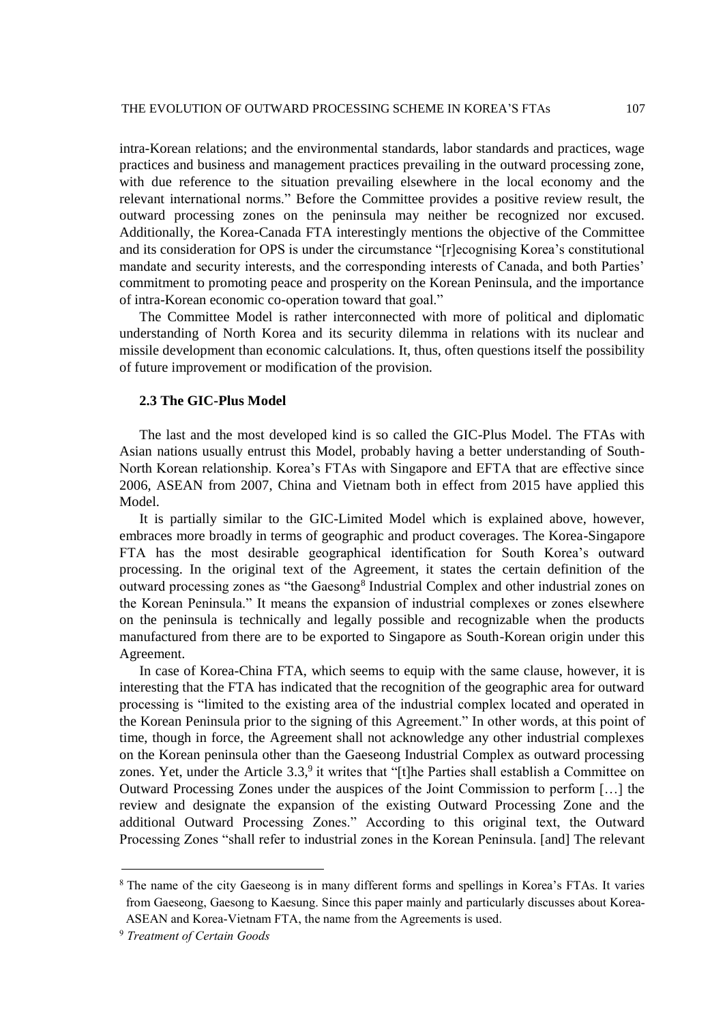intra-Korean relations; and the environmental standards, labor standards and practices, wage practices and business and management practices prevailing in the outward processing zone, with due reference to the situation prevailing elsewhere in the local economy and the relevant international norms." Before the Committee provides a positive review result, the outward processing zones on the peninsula may neither be recognized nor excused. Additionally, the Korea-Canada FTA interestingly mentions the objective of the Committee and its consideration for OPS is under the circumstance "[r]ecognising Korea's constitutional mandate and security interests, and the corresponding interests of Canada, and both Parties' commitment to promoting peace and prosperity on the Korean Peninsula, and the importance of intra-Korean economic co-operation toward that goal."

The Committee Model is rather interconnected with more of political and diplomatic understanding of North Korea and its security dilemma in relations with its nuclear and missile development than economic calculations. It, thus, often questions itself the possibility of future improvement or modification of the provision.

### **2.3 The GIC-Plus Model**

The last and the most developed kind is so called the GIC-Plus Model. The FTAs with Asian nations usually entrust this Model, probably having a better understanding of South-North Korean relationship. Korea's FTAs with Singapore and EFTA that are effective since 2006, ASEAN from 2007, China and Vietnam both in effect from 2015 have applied this Model.

It is partially similar to the GIC-Limited Model which is explained above, however, embraces more broadly in terms of geographic and product coverages. The Korea-Singapore FTA has the most desirable geographical identification for South Korea's outward processing. In the original text of the Agreement, it states the certain definition of the outward processing zones as "the Gaesong<sup>8</sup> Industrial Complex and other industrial zones on the Korean Peninsula." It means the expansion of industrial complexes or zones elsewhere on the peninsula is technically and legally possible and recognizable when the products manufactured from there are to be exported to Singapore as South-Korean origin under this Agreement.

In case of Korea-China FTA, which seems to equip with the same clause, however, it is interesting that the FTA has indicated that the recognition of the geographic area for outward processing is "limited to the existing area of the industrial complex located and operated in the Korean Peninsula prior to the signing of this Agreement." In other words, at this point of time, though in force, the Agreement shall not acknowledge any other industrial complexes on the Korean peninsula other than the Gaeseong Industrial Complex as outward processing zones. Yet, under the Article 3.3,<sup>9</sup> it writes that "[t]he Parties shall establish a Committee on Outward Processing Zones under the auspices of the Joint Commission to perform […] the review and designate the expansion of the existing Outward Processing Zone and the additional Outward Processing Zones." According to this original text, the Outward Processing Zones "shall refer to industrial zones in the Korean Peninsula. [and] The relevant

<sup>8</sup> The name of the city Gaeseong is in many different forms and spellings in Korea's FTAs. It varies from Gaeseong, Gaesong to Kaesung. Since this paper mainly and particularly discusses about Korea-ASEAN and Korea-Vietnam FTA, the name from the Agreements is used.

<sup>9</sup> *Treatment of Certain Goods*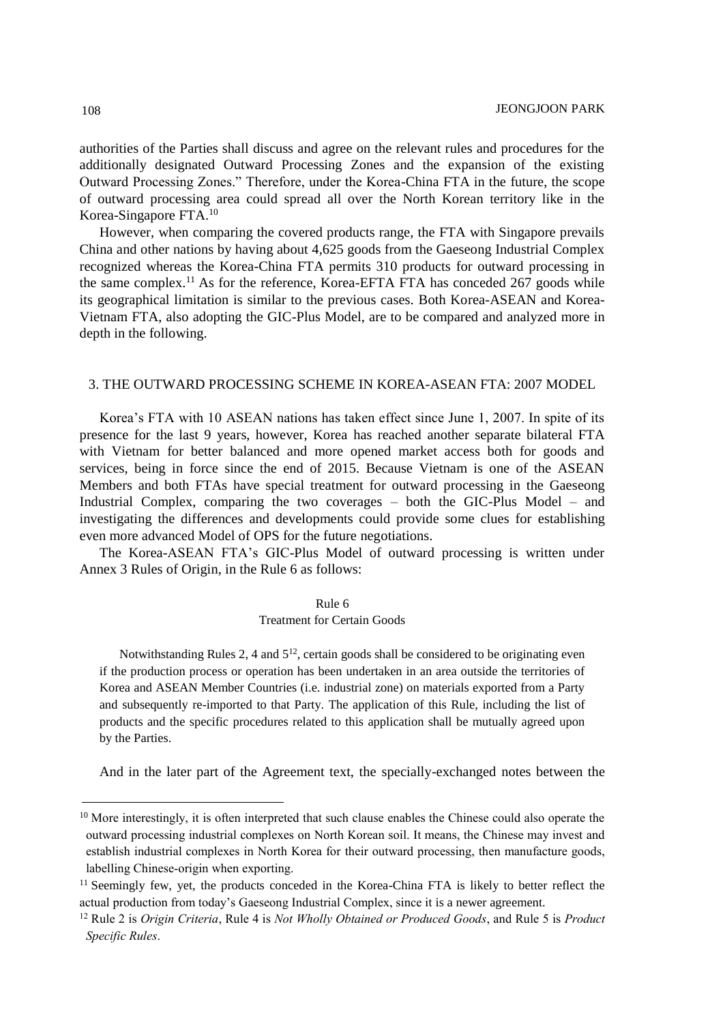authorities of the Parties shall discuss and agree on the relevant rules and procedures for the additionally designated Outward Processing Zones and the expansion of the existing Outward Processing Zones." Therefore, under the Korea-China FTA in the future, the scope of outward processing area could spread all over the North Korean territory like in the Korea-Singapore FTA.<sup>10</sup>

However, when comparing the covered products range, the FTA with Singapore prevails China and other nations by having about 4,625 goods from the Gaeseong Industrial Complex recognized whereas the Korea-China FTA permits 310 products for outward processing in the same complex.<sup>11</sup> As for the reference, Korea-EFTA FTA has conceded  $267$  goods while its geographical limitation is similar to the previous cases. Both Korea-ASEAN and Korea-Vietnam FTA, also adopting the GIC-Plus Model, are to be compared and analyzed more in depth in the following.

### 3. THE OUTWARD PROCESSING SCHEME IN KOREA-ASEAN FTA: 2007 MODEL

Korea's FTA with 10 ASEAN nations has taken effect since June 1, 2007. In spite of its presence for the last 9 years, however, Korea has reached another separate bilateral FTA with Vietnam for better balanced and more opened market access both for goods and services, being in force since the end of 2015. Because Vietnam is one of the ASEAN Members and both FTAs have special treatment for outward processing in the Gaeseong Industrial Complex, comparing the two coverages – both the GIC-Plus Model – and investigating the differences and developments could provide some clues for establishing even more advanced Model of OPS for the future negotiations.

The Korea-ASEAN FTA's GIC-Plus Model of outward processing is written under Annex 3 Rules of Origin, in the Rule 6 as follows:

Rule 6

#### Treatment for Certain Goods

Notwithstanding Rules 2, 4 and  $5^{12}$ , certain goods shall be considered to be originating even if the production process or operation has been undertaken in an area outside the territories of Korea and ASEAN Member Countries (i.e. industrial zone) on materials exported from a Party and subsequently re-imported to that Party. The application of this Rule, including the list of products and the specific procedures related to this application shall be mutually agreed upon by the Parties.

And in the later part of the Agreement text, the specially-exchanged notes between the

<sup>&</sup>lt;sup>10</sup> More interestingly, it is often interpreted that such clause enables the Chinese could also operate the outward processing industrial complexes on North Korean soil. It means, the Chinese may invest and establish industrial complexes in North Korea for their outward processing, then manufacture goods, labelling Chinese-origin when exporting.

<sup>&</sup>lt;sup>11</sup> Seemingly few, yet, the products conceded in the Korea-China FTA is likely to better reflect the actual production from today's Gaeseong Industrial Complex, since it is a newer agreement.

<sup>12</sup> Rule 2 is *Origin Criteria*, Rule 4 is *Not Wholly Obtained or Produced Goods*, and Rule 5 is *Product Specific Rules*.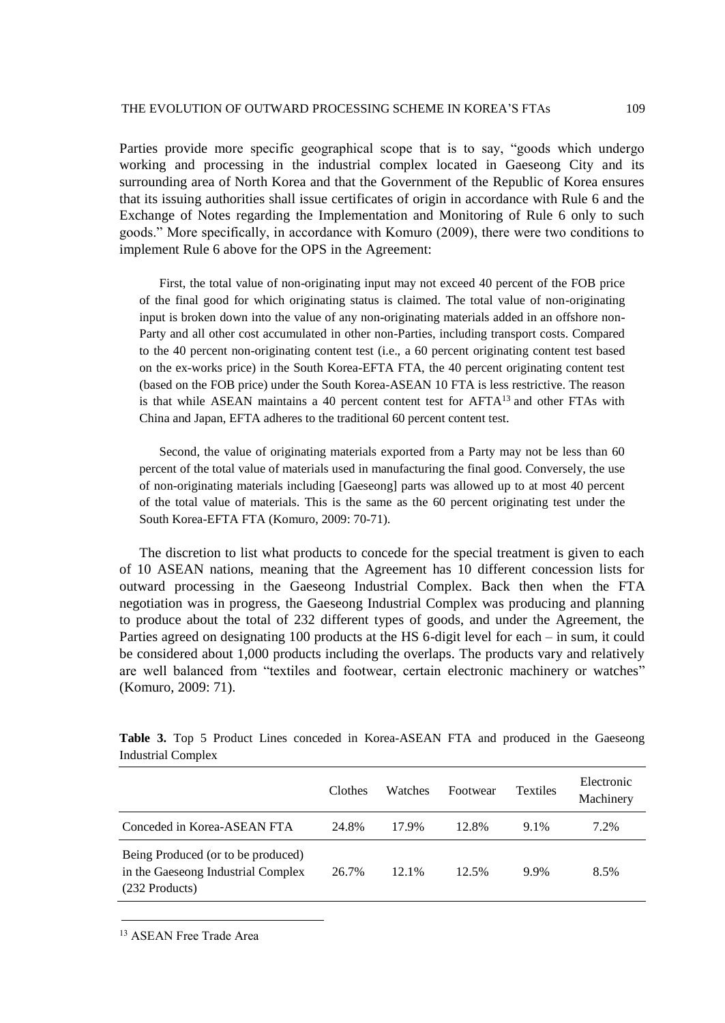Parties provide more specific geographical scope that is to say, "goods which undergo working and processing in the industrial complex located in Gaeseong City and its surrounding area of North Korea and that the Government of the Republic of Korea ensures that its issuing authorities shall issue certificates of origin in accordance with Rule 6 and the Exchange of Notes regarding the Implementation and Monitoring of Rule 6 only to such goods." More specifically, in accordance with Komuro (2009), there were two conditions to implement Rule 6 above for the OPS in the Agreement:

First, the total value of non-originating input may not exceed 40 percent of the FOB price of the final good for which originating status is claimed. The total value of non-originating input is broken down into the value of any non-originating materials added in an offshore non-Party and all other cost accumulated in other non-Parties, including transport costs. Compared to the 40 percent non-originating content test (i.e., a 60 percent originating content test based on the ex-works price) in the South Korea-EFTA FTA, the 40 percent originating content test (based on the FOB price) under the South Korea-ASEAN 10 FTA is less restrictive. The reason is that while ASEAN maintains a 40 percent content test for AFTA<sup>13</sup> and other FTAs with China and Japan, EFTA adheres to the traditional 60 percent content test.

Second, the value of originating materials exported from a Party may not be less than 60 percent of the total value of materials used in manufacturing the final good. Conversely, the use of non-originating materials including [Gaeseong] parts was allowed up to at most 40 percent of the total value of materials. This is the same as the 60 percent originating test under the South Korea-EFTA FTA (Komuro, 2009: 70-71).

The discretion to list what products to concede for the special treatment is given to each of 10 ASEAN nations, meaning that the Agreement has 10 different concession lists for outward processing in the Gaeseong Industrial Complex. Back then when the FTA negotiation was in progress, the Gaeseong Industrial Complex was producing and planning to produce about the total of 232 different types of goods, and under the Agreement, the Parties agreed on designating 100 products at the HS 6-digit level for each – in sum, it could be considered about 1,000 products including the overlaps. The products vary and relatively are well balanced from "textiles and footwear, certain electronic machinery or watches" (Komuro, 2009: 71).

|                                                                                            | Clothes | Watches  | Footwear | <b>Textiles</b> | Electronic<br>Machinery |
|--------------------------------------------------------------------------------------------|---------|----------|----------|-----------------|-------------------------|
| Conceded in Korea-ASEAN FTA                                                                | 24.8%   | 17.9%    | 12.8%    | 9.1%            | 7.2%                    |
| Being Produced (or to be produced)<br>in the Gaeseong Industrial Complex<br>(232 Products) | 26.7%   | $12.1\%$ | 12.5%    | 9.9%            | 8.5%                    |

**Table 3.** Top 5 Product Lines conceded in Korea-ASEAN FTA and produced in the Gaeseong Industrial Complex

<sup>13</sup> ASEAN Free Trade Area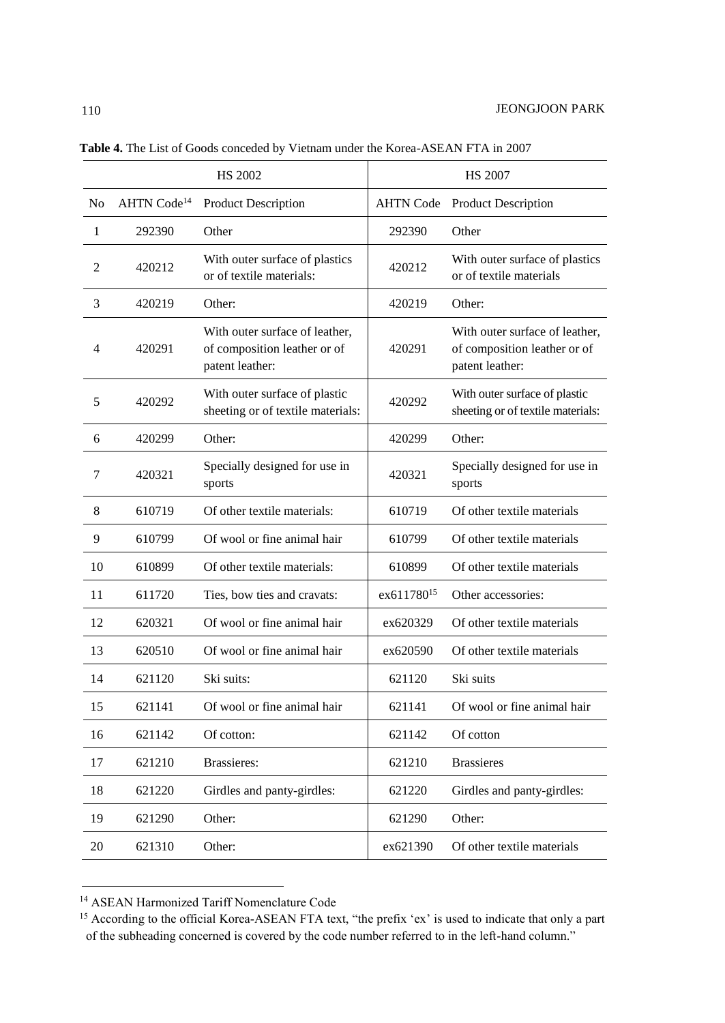|    |                         | <b>HS 2002</b>                                                                    |                        | <b>HS 2007</b>                                                                    |
|----|-------------------------|-----------------------------------------------------------------------------------|------------------------|-----------------------------------------------------------------------------------|
| No | AHTN Code <sup>14</sup> | <b>Product Description</b>                                                        | <b>AHTN Code</b>       | <b>Product Description</b>                                                        |
| 1  | 292390                  | Other                                                                             | 292390                 | Other                                                                             |
| 2  | 420212                  | With outer surface of plastics<br>or of textile materials:                        | 420212                 | With outer surface of plastics<br>or of textile materials                         |
| 3  | 420219                  | Other:                                                                            | 420219                 | Other:                                                                            |
| 4  | 420291                  | With outer surface of leather,<br>of composition leather or of<br>patent leather: | 420291                 | With outer surface of leather,<br>of composition leather or of<br>patent leather: |
| 5  | 420292                  | With outer surface of plastic<br>sheeting or of textile materials:                | 420292                 | With outer surface of plastic<br>sheeting or of textile materials:                |
| 6  | 420299                  | Other:                                                                            | 420299                 | Other:                                                                            |
| 7  | 420321                  | Specially designed for use in<br>sports                                           | 420321                 | Specially designed for use in<br>sports                                           |
| 8  | 610719                  | Of other textile materials:                                                       | 610719                 | Of other textile materials                                                        |
| 9  | 610799                  | Of wool or fine animal hair                                                       | 610799                 | Of other textile materials                                                        |
| 10 | 610899                  | Of other textile materials:                                                       | 610899                 | Of other textile materials                                                        |
| 11 | 611720                  | Ties, bow ties and cravats:                                                       | ex611780 <sup>15</sup> | Other accessories:                                                                |
| 12 | 620321                  | Of wool or fine animal hair                                                       | ex620329               | Of other textile materials                                                        |
| 13 | 620510                  | Of wool or fine animal hair                                                       | ex620590               | Of other textile materials                                                        |
| 14 | 621120                  | Ski suits:                                                                        | 621120                 | Ski suits                                                                         |
| 15 | 621141                  | Of wool or fine animal hair                                                       | 621141                 | Of wool or fine animal hair                                                       |
| 16 | 621142                  | Of cotton:                                                                        | 621142                 | Of cotton                                                                         |
| 17 | 621210                  | <b>Brassieres:</b>                                                                | 621210                 | <b>Brassieres</b>                                                                 |
| 18 | 621220                  | Girdles and panty-girdles:                                                        | 621220                 | Girdles and panty-girdles:                                                        |
| 19 | 621290                  | Other:                                                                            | 621290                 | Other:                                                                            |
| 20 | 621310                  | Other:                                                                            | ex621390               | Of other textile materials                                                        |

**Table 4.** The List of Goods conceded by Vietnam under the Korea-ASEAN FTA in 2007

<sup>14</sup> ASEAN Harmonized Tariff Nomenclature Code

<sup>&</sup>lt;sup>15</sup> According to the official Korea-ASEAN FTA text, "the prefix 'ex' is used to indicate that only a part of the subheading concerned is covered by the code number referred to in the left-hand column."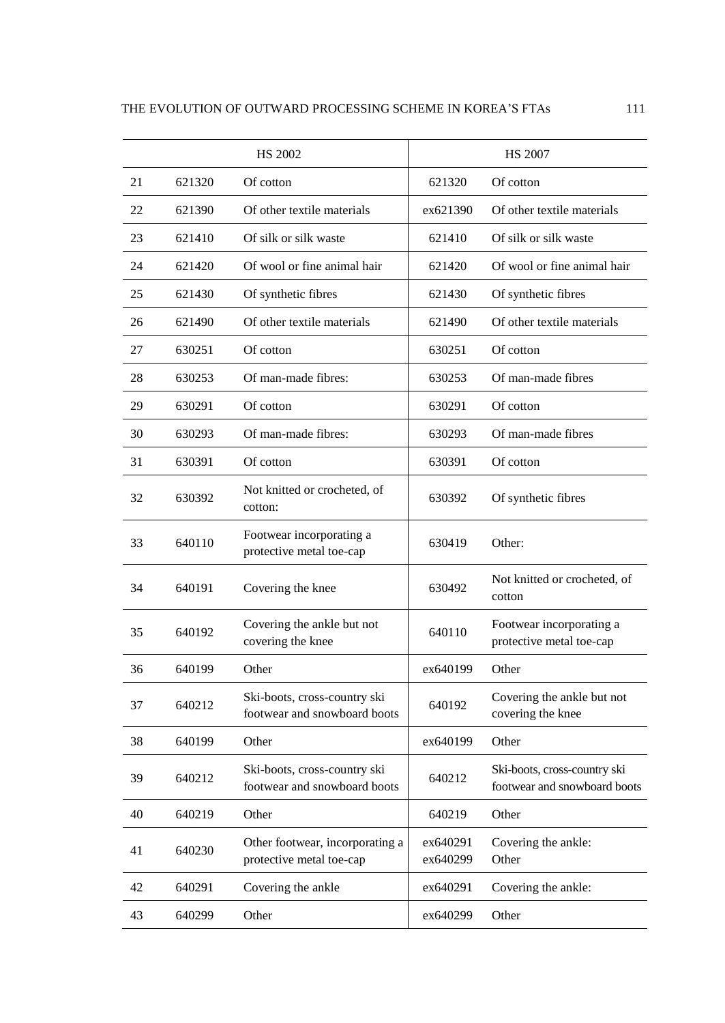|    |        | <b>HS 2002</b>                                               |                      | <b>HS 2007</b>                                               |
|----|--------|--------------------------------------------------------------|----------------------|--------------------------------------------------------------|
| 21 | 621320 | Of cotton                                                    | 621320               | Of cotton                                                    |
| 22 | 621390 | Of other textile materials                                   | ex621390             | Of other textile materials                                   |
| 23 | 621410 | Of silk or silk waste                                        | 621410               | Of silk or silk waste                                        |
| 24 | 621420 | Of wool or fine animal hair                                  | 621420               | Of wool or fine animal hair                                  |
| 25 | 621430 | Of synthetic fibres                                          | 621430               | Of synthetic fibres                                          |
| 26 | 621490 | Of other textile materials                                   | 621490               | Of other textile materials                                   |
| 27 | 630251 | Of cotton                                                    | 630251               | Of cotton                                                    |
| 28 | 630253 | Of man-made fibres:                                          | 630253               | Of man-made fibres                                           |
| 29 | 630291 | Of cotton                                                    | 630291               | Of cotton                                                    |
| 30 | 630293 | Of man-made fibres:                                          | 630293               | Of man-made fibres                                           |
| 31 | 630391 | Of cotton                                                    | 630391               | Of cotton                                                    |
| 32 | 630392 | Not knitted or crocheted, of<br>cotton:                      | 630392               | Of synthetic fibres                                          |
| 33 | 640110 | Footwear incorporating a<br>protective metal toe-cap         | 630419               | Other:                                                       |
| 34 | 640191 | Covering the knee                                            | 630492               | Not knitted or crocheted, of<br>cotton                       |
| 35 | 640192 | Covering the ankle but not<br>covering the knee              | 640110               | Footwear incorporating a<br>protective metal toe-cap         |
| 36 | 640199 | Other                                                        | ex640199             | Other                                                        |
| 37 | 640212 | Ski-boots, cross-country ski<br>footwear and snowboard boots | 640192               | Covering the ankle but not<br>covering the knee              |
| 38 | 640199 | Other                                                        | ex640199             | Other                                                        |
| 39 | 640212 | Ski-boots, cross-country ski<br>footwear and snowboard boots | 640212               | Ski-boots, cross-country ski<br>footwear and snowboard boots |
| 40 | 640219 | Other                                                        | 640219               | Other                                                        |
| 41 | 640230 | Other footwear, incorporating a<br>protective metal toe-cap  | ex640291<br>ex640299 | Covering the ankle:<br>Other                                 |
| 42 | 640291 | Covering the ankle                                           | ex640291             | Covering the ankle:                                          |
| 43 | 640299 | Other                                                        | ex640299             | Other                                                        |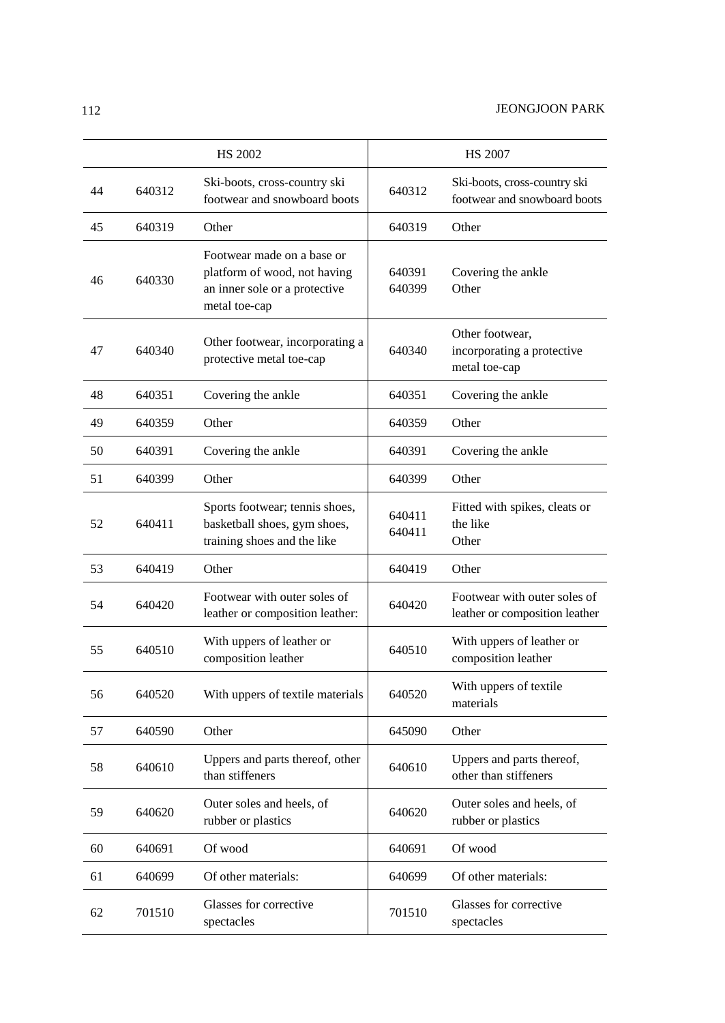|    |        | <b>HS 2002</b>                                                                                               |                  | <b>HS 2007</b>                                                 |
|----|--------|--------------------------------------------------------------------------------------------------------------|------------------|----------------------------------------------------------------|
| 44 | 640312 | Ski-boots, cross-country ski<br>footwear and snowboard boots                                                 | 640312           | Ski-boots, cross-country ski<br>footwear and snowboard boots   |
| 45 | 640319 | Other                                                                                                        | 640319           | Other                                                          |
| 46 | 640330 | Footwear made on a base or<br>platform of wood, not having<br>an inner sole or a protective<br>metal toe-cap | 640391<br>640399 | Covering the ankle<br>Other                                    |
| 47 | 640340 | Other footwear, incorporating a<br>protective metal toe-cap                                                  | 640340           | Other footwear,<br>incorporating a protective<br>metal toe-cap |
| 48 | 640351 | Covering the ankle                                                                                           | 640351           | Covering the ankle                                             |
| 49 | 640359 | Other                                                                                                        | 640359           | Other                                                          |
| 50 | 640391 | Covering the ankle                                                                                           | 640391           | Covering the ankle                                             |
| 51 | 640399 | Other                                                                                                        | 640399           | Other                                                          |
| 52 | 640411 | Sports footwear; tennis shoes,<br>basketball shoes, gym shoes,<br>training shoes and the like                | 640411<br>640411 | Fitted with spikes, cleats or<br>the like<br>Other             |
| 53 | 640419 | Other                                                                                                        | 640419           | Other                                                          |
| 54 | 640420 | Footwear with outer soles of<br>leather or composition leather:                                              | 640420           | Footwear with outer soles of<br>leather or composition leather |
| 55 | 640510 | With uppers of leather or<br>composition leather                                                             | 640510           | With uppers of leather or<br>composition leather               |
| 56 | 640520 | With uppers of textile materials                                                                             | 640520           | With uppers of textile<br>materials                            |
| 57 | 640590 | Other                                                                                                        | 645090           | Other                                                          |
| 58 | 640610 | Uppers and parts thereof, other<br>than stiffeners                                                           | 640610           | Uppers and parts thereof,<br>other than stiffeners             |
| 59 | 640620 | Outer soles and heels, of<br>rubber or plastics                                                              | 640620           | Outer soles and heels, of<br>rubber or plastics                |
| 60 | 640691 | Of wood                                                                                                      | 640691           | Of wood                                                        |
| 61 | 640699 | Of other materials:                                                                                          | 640699           | Of other materials:                                            |
| 62 | 701510 | Glasses for corrective<br>spectacles                                                                         | 701510           | Glasses for corrective<br>spectacles                           |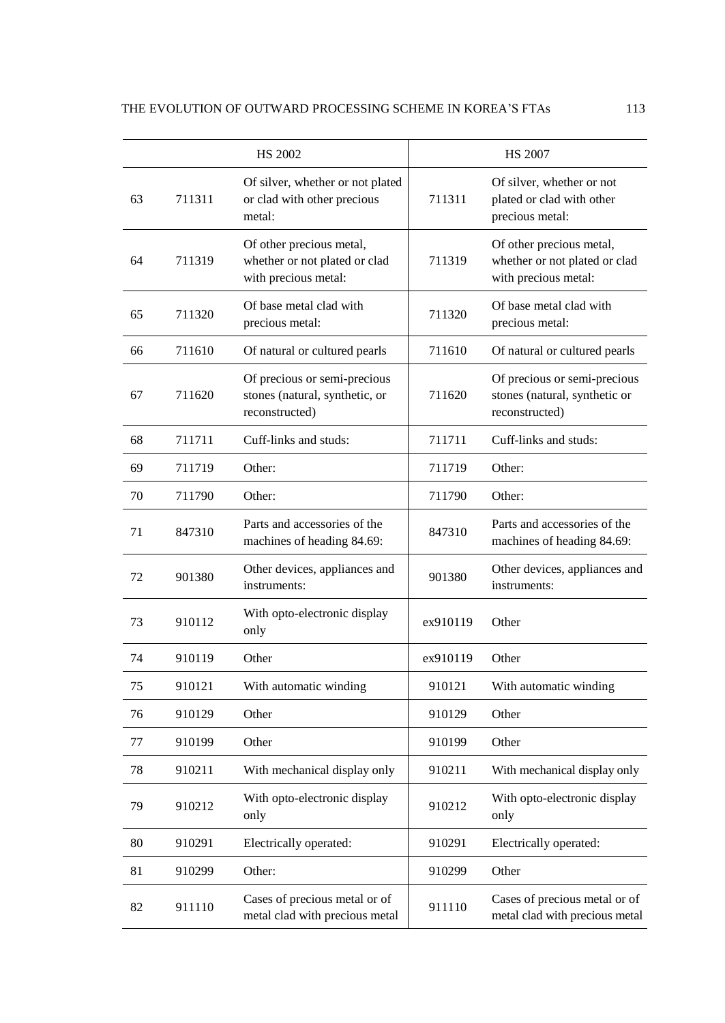|    |        | <b>HS 2002</b>                                                                    |          | <b>HS 2007</b>                                                                    |
|----|--------|-----------------------------------------------------------------------------------|----------|-----------------------------------------------------------------------------------|
| 63 | 711311 | Of silver, whether or not plated<br>or clad with other precious<br>metal:         | 711311   | Of silver, whether or not<br>plated or clad with other<br>precious metal:         |
| 64 | 711319 | Of other precious metal,<br>whether or not plated or clad<br>with precious metal: | 711319   | Of other precious metal,<br>whether or not plated or clad<br>with precious metal: |
| 65 | 711320 | Of base metal clad with<br>precious metal:                                        | 711320   | Of base metal clad with<br>precious metal:                                        |
| 66 | 711610 | Of natural or cultured pearls                                                     | 711610   | Of natural or cultured pearls                                                     |
| 67 | 711620 | Of precious or semi-precious<br>stones (natural, synthetic, or<br>reconstructed)  | 711620   | Of precious or semi-precious<br>stones (natural, synthetic or<br>reconstructed)   |
| 68 | 711711 | Cuff-links and studs:                                                             | 711711   | Cuff-links and studs:                                                             |
| 69 | 711719 | Other:                                                                            | 711719   | Other:                                                                            |
| 70 | 711790 | Other:                                                                            | 711790   | Other:                                                                            |
| 71 | 847310 | Parts and accessories of the<br>machines of heading 84.69:                        | 847310   | Parts and accessories of the<br>machines of heading 84.69:                        |
| 72 | 901380 | Other devices, appliances and<br>instruments:                                     | 901380   | Other devices, appliances and<br>instruments:                                     |
| 73 | 910112 | With opto-electronic display<br>only                                              | ex910119 | Other                                                                             |
| 74 | 910119 | Other                                                                             | ex910119 | Other                                                                             |
| 75 | 910121 | With automatic winding                                                            | 910121   | With automatic winding                                                            |
| 76 | 910129 | Other                                                                             | 910129   | Other                                                                             |
| 77 | 910199 | Other                                                                             | 910199   | Other                                                                             |
| 78 | 910211 | With mechanical display only                                                      | 910211   | With mechanical display only                                                      |
| 79 | 910212 | With opto-electronic display<br>only                                              | 910212   | With opto-electronic display<br>only                                              |
| 80 | 910291 | Electrically operated:                                                            | 910291   | Electrically operated:                                                            |
| 81 | 910299 | Other:                                                                            | 910299   | Other                                                                             |
| 82 | 911110 | Cases of precious metal or of<br>metal clad with precious metal                   | 911110   | Cases of precious metal or of<br>metal clad with precious metal                   |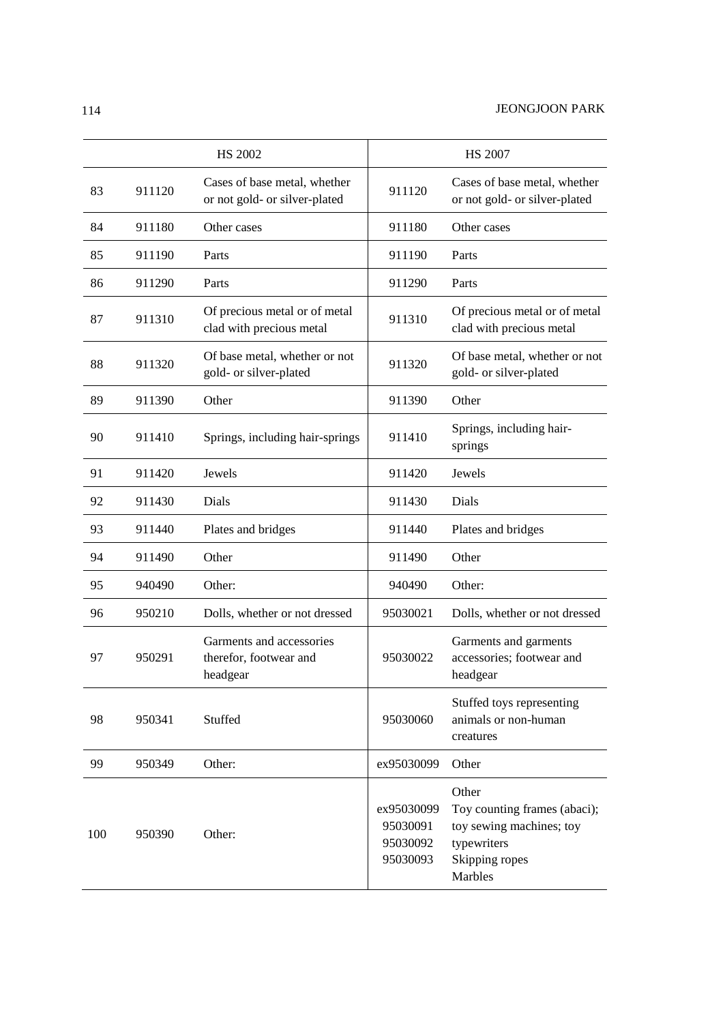|     |        | <b>HS 2002</b>                                                 |                                                | <b>HS 2007</b>                                                                                                |
|-----|--------|----------------------------------------------------------------|------------------------------------------------|---------------------------------------------------------------------------------------------------------------|
| 83  | 911120 | Cases of base metal, whether<br>or not gold- or silver-plated  | 911120                                         | Cases of base metal, whether<br>or not gold- or silver-plated                                                 |
| 84  | 911180 | Other cases                                                    | 911180                                         | Other cases                                                                                                   |
| 85  | 911190 | Parts                                                          | 911190                                         | Parts                                                                                                         |
| 86  | 911290 | Parts                                                          | 911290                                         | Parts                                                                                                         |
| 87  | 911310 | Of precious metal or of metal<br>clad with precious metal      | 911310                                         | Of precious metal or of metal<br>clad with precious metal                                                     |
| 88  | 911320 | Of base metal, whether or not<br>gold- or silver-plated        | 911320                                         | Of base metal, whether or not<br>gold- or silver-plated                                                       |
| 89  | 911390 | Other                                                          | 911390                                         | Other                                                                                                         |
| 90  | 911410 | Springs, including hair-springs                                | 911410                                         | Springs, including hair-<br>springs                                                                           |
| 91  | 911420 | Jewels                                                         | 911420                                         | Jewels                                                                                                        |
| 92  | 911430 | Dials                                                          | 911430                                         | Dials                                                                                                         |
| 93  | 911440 | Plates and bridges                                             | 911440                                         | Plates and bridges                                                                                            |
| 94  | 911490 | Other                                                          | 911490                                         | Other                                                                                                         |
| 95  | 940490 | Other:                                                         | 940490                                         | Other:                                                                                                        |
| 96  | 950210 | Dolls, whether or not dressed                                  | 95030021                                       | Dolls, whether or not dressed                                                                                 |
| 97  | 950291 | Garments and accessories<br>therefor, footwear and<br>headgear | 95030022                                       | Garments and garments<br>accessories; footwear and<br>headgear                                                |
| 98  | 950341 | Stuffed                                                        | 95030060                                       | Stuffed toys representing<br>animals or non-human<br>creatures                                                |
| 99  | 950349 | Other:                                                         | ex95030099                                     | Other                                                                                                         |
| 100 | 950390 | Other:                                                         | ex95030099<br>95030091<br>95030092<br>95030093 | Other<br>Toy counting frames (abaci);<br>toy sewing machines; toy<br>typewriters<br>Skipping ropes<br>Marbles |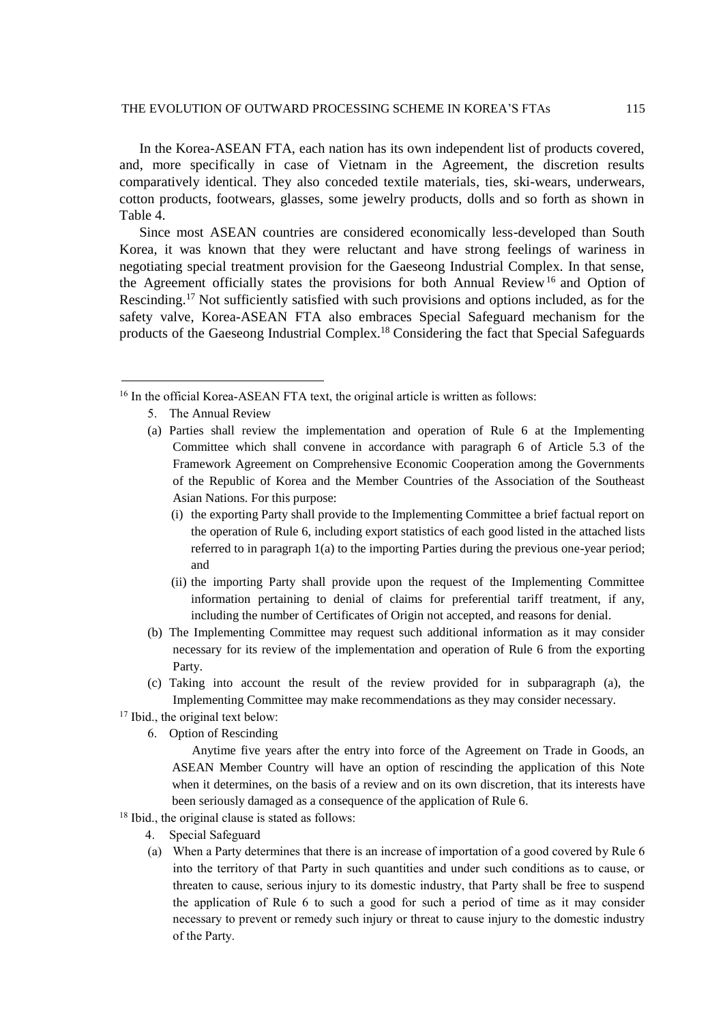### THE EVOLUTION OF OUTWARD PROCESSING SCHEME IN KOREA'S FTAs 115

In the Korea-ASEAN FTA, each nation has its own independent list of products covered, and, more specifically in case of Vietnam in the Agreement, the discretion results comparatively identical. They also conceded textile materials, ties, ski-wears, underwears, cotton products, footwears, glasses, some jewelry products, dolls and so forth as shown in Table 4.

Since most ASEAN countries are considered economically less-developed than South Korea, it was known that they were reluctant and have strong feelings of wariness in negotiating special treatment provision for the Gaeseong Industrial Complex. In that sense, the Agreement officially states the provisions for both Annual Review<sup>16</sup> and Option of Rescinding.<sup>17</sup> Not sufficiently satisfied with such provisions and options included, as for the safety valve, Korea-ASEAN FTA also embraces Special Safeguard mechanism for the products of the Gaeseong Industrial Complex.<sup>18</sup> Considering the fact that Special Safeguards

5. The Annual Review

l

- (a) Parties shall review the implementation and operation of Rule 6 at the Implementing Committee which shall convene in accordance with paragraph 6 of Article 5.3 of the Framework Agreement on Comprehensive Economic Cooperation among the Governments of the Republic of Korea and the Member Countries of the Association of the Southeast Asian Nations. For this purpose:
	- (i) the exporting Party shall provide to the Implementing Committee a brief factual report on the operation of Rule 6, including export statistics of each good listed in the attached lists referred to in paragraph 1(a) to the importing Parties during the previous one-year period; and
	- (ii) the importing Party shall provide upon the request of the Implementing Committee information pertaining to denial of claims for preferential tariff treatment, if any, including the number of Certificates of Origin not accepted, and reasons for denial.
- (b) The Implementing Committee may request such additional information as it may consider necessary for its review of the implementation and operation of Rule 6 from the exporting Party.
- (c) Taking into account the result of the review provided for in subparagraph (a), the Implementing Committee may make recommendations as they may consider necessary.
- <sup>17</sup> Ibid., the original text below:
	- 6. Option of Rescinding

Anytime five years after the entry into force of the Agreement on Trade in Goods, an ASEAN Member Country will have an option of rescinding the application of this Note when it determines, on the basis of a review and on its own discretion, that its interests have been seriously damaged as a consequence of the application of Rule 6.

- <sup>18</sup> Ibid., the original clause is stated as follows:
	- 4. Special Safeguard
	- (a) When a Party determines that there is an increase of importation of a good covered by Rule 6 into the territory of that Party in such quantities and under such conditions as to cause, or threaten to cause, serious injury to its domestic industry, that Party shall be free to suspend the application of Rule 6 to such a good for such a period of time as it may consider necessary to prevent or remedy such injury or threat to cause injury to the domestic industry of the Party.

<sup>&</sup>lt;sup>16</sup> In the official Korea-ASEAN FTA text, the original article is written as follows: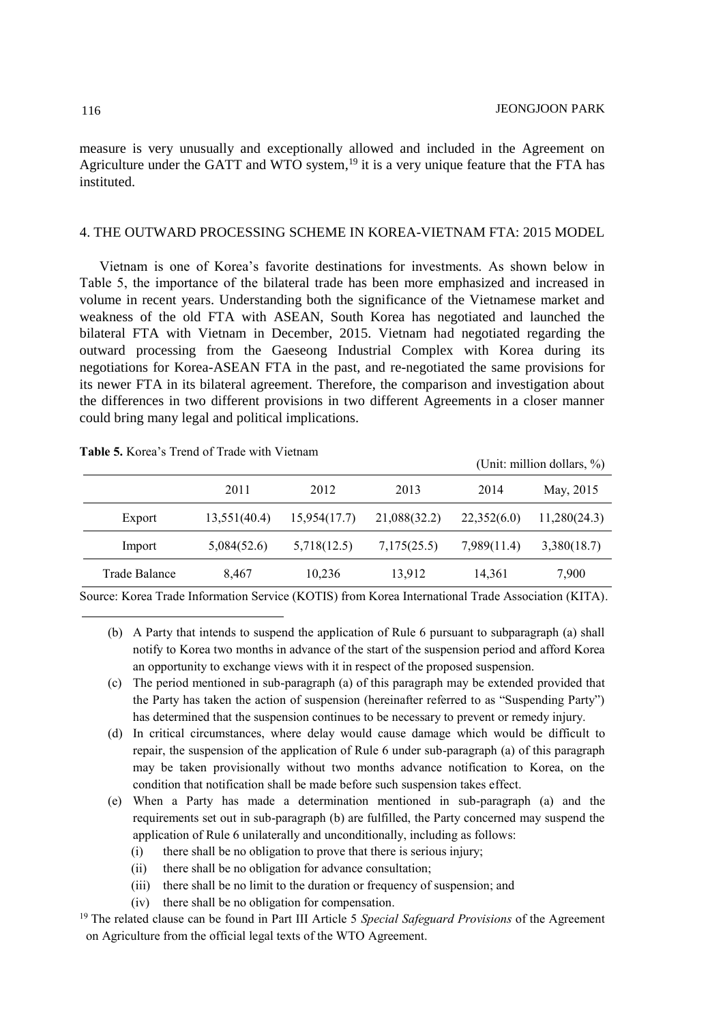$(\text{Unit: million dollars}, \theta)$ 

measure is very unusually and exceptionally allowed and included in the Agreement on Agriculture under the GATT and WTO system,<sup>19</sup> it is a very unique feature that the FTA has instituted.

### 4. THE OUTWARD PROCESSING SCHEME IN KOREA-VIETNAM FTA: 2015 MODEL

Vietnam is one of Korea's favorite destinations for investments. As shown below in Table 5, the importance of the bilateral trade has been more emphasized and increased in volume in recent years. Understanding both the significance of the Vietnamese market and weakness of the old FTA with ASEAN, South Korea has negotiated and launched the bilateral FTA with Vietnam in December, 2015. Vietnam had negotiated regarding the outward processing from the Gaeseong Industrial Complex with Korea during its negotiations for Korea-ASEAN FTA in the past, and re-negotiated the same provisions for its newer FTA in its bilateral agreement. Therefore, the comparison and investigation about the differences in two different provisions in two different Agreements in a closer manner could bring many legal and political implications.

### **Table 5.** Korea's Trend of Trade with Vietnam

|               |              |              |              |             | $101111.$ $111111011$ $1111113.$ $701$ |
|---------------|--------------|--------------|--------------|-------------|----------------------------------------|
|               | 2011         | 2012         | 2013         | 2014        | May, 2015                              |
| Export        | 13,551(40.4) | 15.954(17.7) | 21,088(32.2) | 22,352(6.0) | 11,280(24.3)                           |
| Import        | 5,084(52.6)  | 5,718(12.5)  | 7,175(25.5)  | 7,989(11.4) | 3,380(18.7)                            |
| Trade Balance | 8,467        | 10,236       | 13,912       | 14,361      | 7,900                                  |

Source: Korea Trade Information Service (KOTIS) from Korea International Trade Association (KITA).

- (b) A Party that intends to suspend the application of Rule 6 pursuant to subparagraph (a) shall notify to Korea two months in advance of the start of the suspension period and afford Korea an opportunity to exchange views with it in respect of the proposed suspension.
- (c) The period mentioned in sub-paragraph (a) of this paragraph may be extended provided that the Party has taken the action of suspension (hereinafter referred to as "Suspending Party") has determined that the suspension continues to be necessary to prevent or remedy injury.
- (d) In critical circumstances, where delay would cause damage which would be difficult to repair, the suspension of the application of Rule 6 under sub-paragraph (a) of this paragraph may be taken provisionally without two months advance notification to Korea, on the condition that notification shall be made before such suspension takes effect.
- (e) When a Party has made a determination mentioned in sub-paragraph (a) and the requirements set out in sub-paragraph (b) are fulfilled, the Party concerned may suspend the application of Rule 6 unilaterally and unconditionally, including as follows:
	- (i) there shall be no obligation to prove that there is serious injury;
	- (ii) there shall be no obligation for advance consultation;
	- (iii) there shall be no limit to the duration or frequency of suspension; and
	- (iv) there shall be no obligation for compensation.

<sup>19</sup> The related clause can be found in Part III Article 5 *Special Safeguard Provisions* of the Agreement on Agriculture from the official legal texts of the WTO Agreement.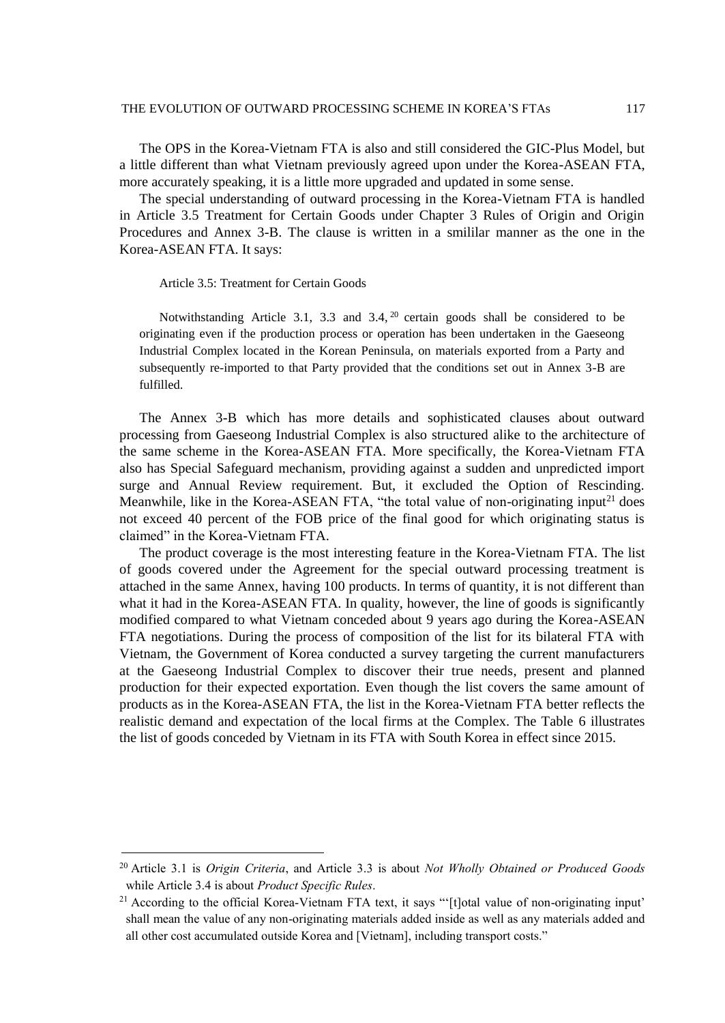The OPS in the Korea-Vietnam FTA is also and still considered the GIC-Plus Model, but a little different than what Vietnam previously agreed upon under the Korea-ASEAN FTA, more accurately speaking, it is a little more upgraded and updated in some sense.

The special understanding of outward processing in the Korea-Vietnam FTA is handled in Article 3.5 Treatment for Certain Goods under Chapter 3 Rules of Origin and Origin Procedures and Annex 3-B. The clause is written in a smililar manner as the one in the Korea-ASEAN FTA. It says:

Article 3.5: Treatment for Certain Goods

l

Notwithstanding Article 3.1, 3.3 and 3.4,<sup>20</sup> certain goods shall be considered to be originating even if the production process or operation has been undertaken in the Gaeseong Industrial Complex located in the Korean Peninsula, on materials exported from a Party and subsequently re-imported to that Party provided that the conditions set out in Annex 3-B are fulfilled.

The Annex 3-B which has more details and sophisticated clauses about outward processing from Gaeseong Industrial Complex is also structured alike to the architecture of the same scheme in the Korea-ASEAN FTA. More specifically, the Korea-Vietnam FTA also has Special Safeguard mechanism, providing against a sudden and unpredicted import surge and Annual Review requirement. But, it excluded the Option of Rescinding. Meanwhile, like in the Korea-ASEAN FTA, "the total value of non-originating input<sup>21</sup> does not exceed 40 percent of the FOB price of the final good for which originating status is claimed" in the Korea-Vietnam FTA.

The product coverage is the most interesting feature in the Korea-Vietnam FTA. The list of goods covered under the Agreement for the special outward processing treatment is attached in the same Annex, having 100 products. In terms of quantity, it is not different than what it had in the Korea-ASEAN FTA. In quality, however, the line of goods is significantly modified compared to what Vietnam conceded about 9 years ago during the Korea-ASEAN FTA negotiations. During the process of composition of the list for its bilateral FTA with Vietnam, the Government of Korea conducted a survey targeting the current manufacturers at the Gaeseong Industrial Complex to discover their true needs, present and planned production for their expected exportation. Even though the list covers the same amount of products as in the Korea-ASEAN FTA, the list in the Korea-Vietnam FTA better reflects the realistic demand and expectation of the local firms at the Complex. The Table 6 illustrates the list of goods conceded by Vietnam in its FTA with South Korea in effect since 2015.

<sup>20</sup> Article 3.1 is *Origin Criteria*, and Article 3.3 is about *Not Wholly Obtained or Produced Goods* while Article 3.4 is about *Product Specific Rules*.

<sup>&</sup>lt;sup>21</sup> According to the official Korea-Vietnam FTA text, it says "'[t]otal value of non-originating input' shall mean the value of any non-originating materials added inside as well as any materials added and all other cost accumulated outside Korea and [Vietnam], including transport costs."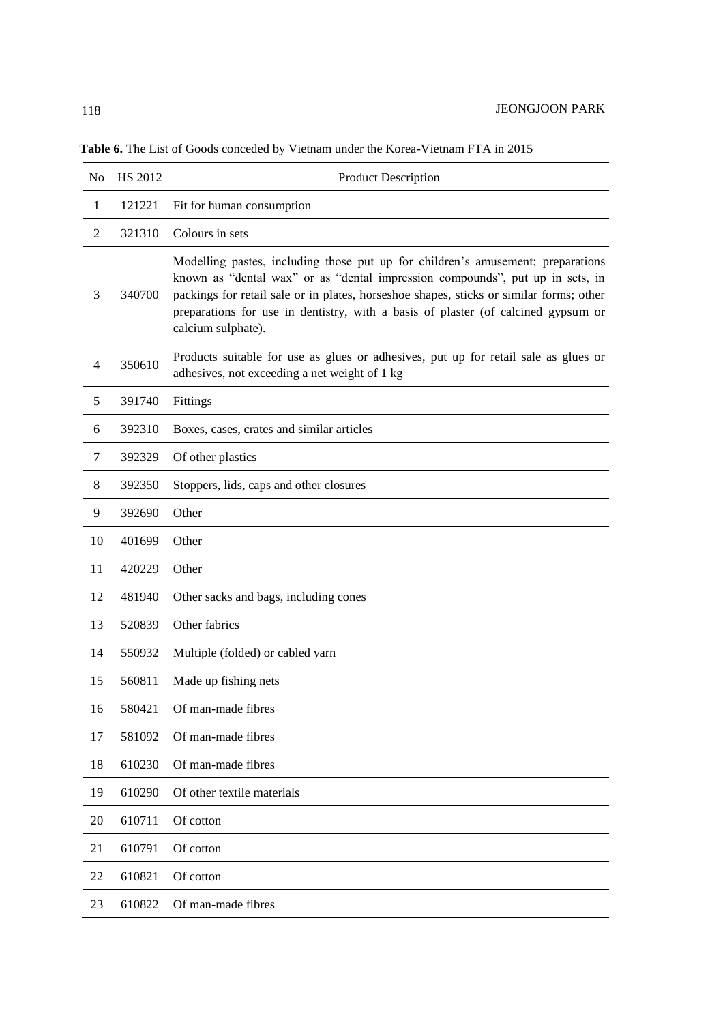| No             | <b>HS 2012</b> | Product Description                                                                                                                                                                                                                                                                                                                                                    |
|----------------|----------------|------------------------------------------------------------------------------------------------------------------------------------------------------------------------------------------------------------------------------------------------------------------------------------------------------------------------------------------------------------------------|
| 1              | 121221         | Fit for human consumption                                                                                                                                                                                                                                                                                                                                              |
| $\overline{2}$ | 321310         | Colours in sets                                                                                                                                                                                                                                                                                                                                                        |
| 3              | 340700         | Modelling pastes, including those put up for children's amusement; preparations<br>known as "dental wax" or as "dental impression compounds", put up in sets, in<br>packings for retail sale or in plates, horseshoe shapes, sticks or similar forms; other<br>preparations for use in dentistry, with a basis of plaster (of calcined gypsum or<br>calcium sulphate). |
| $\overline{4}$ | 350610         | Products suitable for use as glues or adhesives, put up for retail sale as glues or<br>adhesives, not exceeding a net weight of 1 kg                                                                                                                                                                                                                                   |
| 5              | 391740         | Fittings                                                                                                                                                                                                                                                                                                                                                               |
| 6              | 392310         | Boxes, cases, crates and similar articles                                                                                                                                                                                                                                                                                                                              |
| 7              | 392329         | Of other plastics                                                                                                                                                                                                                                                                                                                                                      |
| 8              | 392350         | Stoppers, lids, caps and other closures                                                                                                                                                                                                                                                                                                                                |
| 9              | 392690         | Other                                                                                                                                                                                                                                                                                                                                                                  |
| 10             | 401699         | Other                                                                                                                                                                                                                                                                                                                                                                  |
| 11             | 420229         | Other                                                                                                                                                                                                                                                                                                                                                                  |
| 12             | 481940         | Other sacks and bags, including cones                                                                                                                                                                                                                                                                                                                                  |
| 13             | 520839         | Other fabrics                                                                                                                                                                                                                                                                                                                                                          |
| 14             | 550932         | Multiple (folded) or cabled yarn                                                                                                                                                                                                                                                                                                                                       |
| 15             | 560811         | Made up fishing nets                                                                                                                                                                                                                                                                                                                                                   |
| 16             | 580421         | Of man-made fibres                                                                                                                                                                                                                                                                                                                                                     |
| 17             | 581092         | Of man-made fibres                                                                                                                                                                                                                                                                                                                                                     |
| 18             | 610230         | Of man-made fibres                                                                                                                                                                                                                                                                                                                                                     |
| 19             | 610290         | Of other textile materials                                                                                                                                                                                                                                                                                                                                             |
| 20             | 610711         | Of cotton                                                                                                                                                                                                                                                                                                                                                              |
| 21             | 610791         | Of cotton                                                                                                                                                                                                                                                                                                                                                              |
| 22             | 610821         | Of cotton                                                                                                                                                                                                                                                                                                                                                              |
| 23             | 610822         | Of man-made fibres                                                                                                                                                                                                                                                                                                                                                     |

**Table 6.** The List of Goods conceded by Vietnam under the Korea-Vietnam FTA in 2015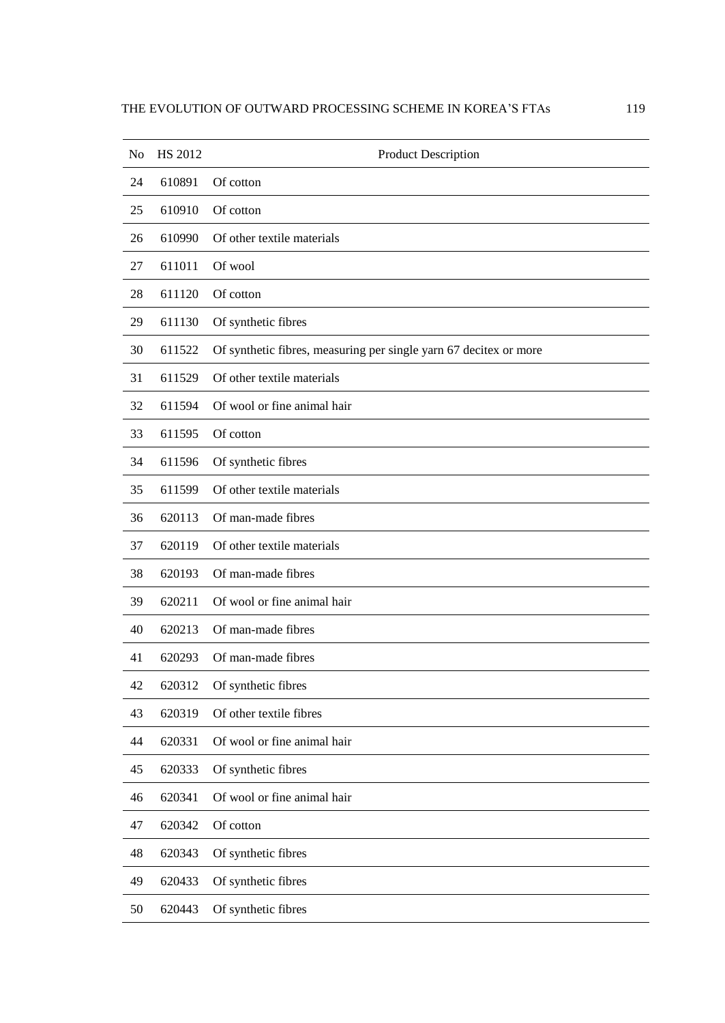| No | HS 2012 | Product Description                                               |
|----|---------|-------------------------------------------------------------------|
| 24 | 610891  | Of cotton                                                         |
| 25 | 610910  | Of cotton                                                         |
| 26 | 610990  | Of other textile materials                                        |
| 27 | 611011  | Of wool                                                           |
| 28 | 611120  | Of cotton                                                         |
| 29 | 611130  | Of synthetic fibres                                               |
| 30 | 611522  | Of synthetic fibres, measuring per single yarn 67 decitex or more |
| 31 | 611529  | Of other textile materials                                        |
| 32 | 611594  | Of wool or fine animal hair                                       |
| 33 | 611595  | Of cotton                                                         |
| 34 | 611596  | Of synthetic fibres                                               |
| 35 | 611599  | Of other textile materials                                        |
| 36 | 620113  | Of man-made fibres                                                |
| 37 | 620119  | Of other textile materials                                        |
| 38 | 620193  | Of man-made fibres                                                |
| 39 | 620211  | Of wool or fine animal hair                                       |
| 40 | 620213  | Of man-made fibres                                                |
| 41 | 620293  | Of man-made fibres                                                |
| 42 | 620312  | Of synthetic fibres                                               |
| 43 | 620319  | Of other textile fibres                                           |
| 44 | 620331  | Of wool or fine animal hair                                       |
| 45 | 620333  | Of synthetic fibres                                               |
| 46 | 620341  | Of wool or fine animal hair                                       |
| 47 | 620342  | Of cotton                                                         |
| 48 | 620343  | Of synthetic fibres                                               |
| 49 | 620433  | Of synthetic fibres                                               |
| 50 | 620443  | Of synthetic fibres                                               |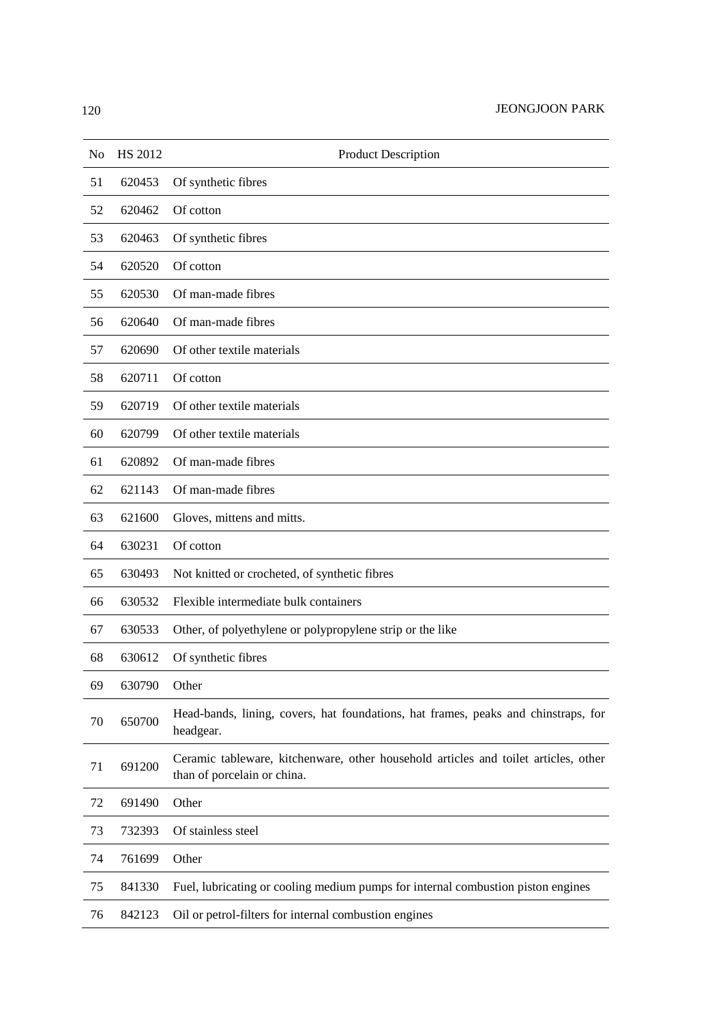| No | <b>HS 2012</b> | <b>Product Description</b>                                                                                         |
|----|----------------|--------------------------------------------------------------------------------------------------------------------|
| 51 | 620453         | Of synthetic fibres                                                                                                |
| 52 | 620462         | Of cotton                                                                                                          |
| 53 | 620463         | Of synthetic fibres                                                                                                |
| 54 | 620520         | Of cotton                                                                                                          |
| 55 | 620530         | Of man-made fibres                                                                                                 |
| 56 | 620640         | Of man-made fibres                                                                                                 |
| 57 | 620690         | Of other textile materials                                                                                         |
| 58 | 620711         | Of cotton                                                                                                          |
| 59 | 620719         | Of other textile materials                                                                                         |
| 60 | 620799         | Of other textile materials                                                                                         |
| 61 | 620892         | Of man-made fibres                                                                                                 |
| 62 | 621143         | Of man-made fibres                                                                                                 |
| 63 | 621600         | Gloves, mittens and mitts.                                                                                         |
| 64 | 630231         | Of cotton                                                                                                          |
| 65 | 630493         | Not knitted or crocheted, of synthetic fibres                                                                      |
| 66 | 630532         | Flexible intermediate bulk containers                                                                              |
| 67 | 630533         | Other, of polyethylene or polypropylene strip or the like                                                          |
| 68 | 630612         | Of synthetic fibres                                                                                                |
| 69 | 630790         | Other                                                                                                              |
| 70 | 650700         | Head-bands, lining, covers, hat foundations, hat frames, peaks and chinstraps, for<br>headgear.                    |
| 71 | 691200         | Ceramic tableware, kitchenware, other household articles and toilet articles, other<br>than of porcelain or china. |
| 72 | 691490         | Other                                                                                                              |
| 73 | 732393         | Of stainless steel                                                                                                 |
| 74 | 761699         | Other                                                                                                              |
| 75 | 841330         | Fuel, lubricating or cooling medium pumps for internal combustion piston engines                                   |
| 76 | 842123         | Oil or petrol-filters for internal combustion engines                                                              |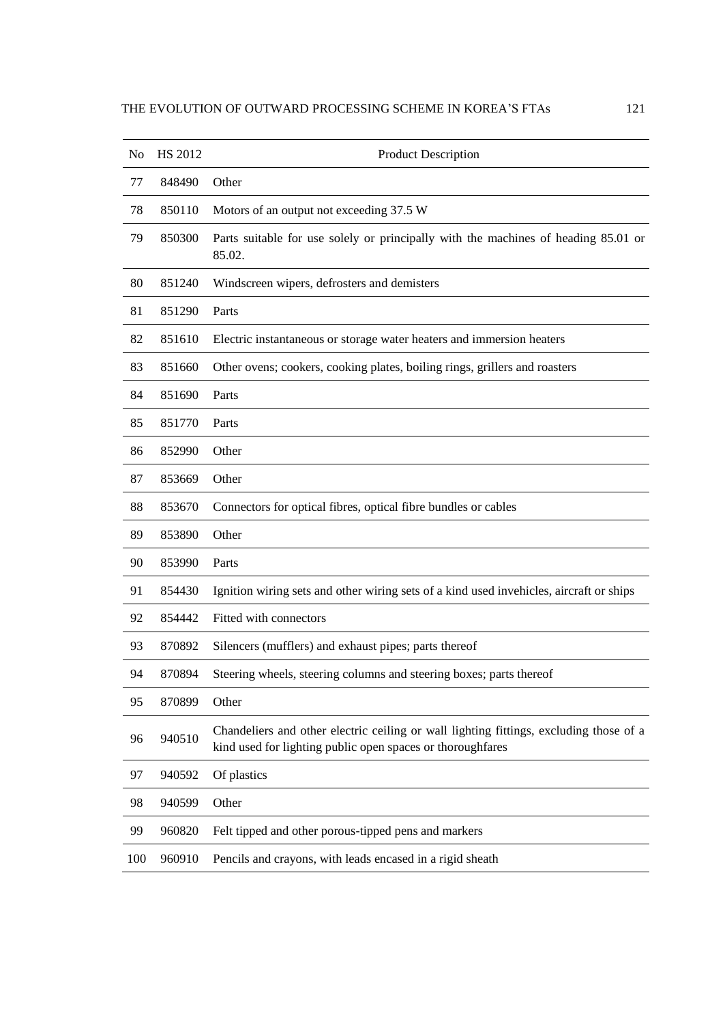| No  | HS 2012 | <b>Product Description</b>                                                                                                                           |
|-----|---------|------------------------------------------------------------------------------------------------------------------------------------------------------|
| 77  | 848490  | Other                                                                                                                                                |
| 78  | 850110  | Motors of an output not exceeding 37.5 W                                                                                                             |
| 79  | 850300  | Parts suitable for use solely or principally with the machines of heading 85.01 or<br>85.02.                                                         |
| 80  | 851240  | Windscreen wipers, defrosters and demisters                                                                                                          |
| 81  | 851290  | Parts                                                                                                                                                |
| 82  | 851610  | Electric instantaneous or storage water heaters and immersion heaters                                                                                |
| 83  | 851660  | Other ovens; cookers, cooking plates, boiling rings, grillers and roasters                                                                           |
| 84  | 851690  | Parts                                                                                                                                                |
| 85  | 851770  | Parts                                                                                                                                                |
| 86  | 852990  | Other                                                                                                                                                |
| 87  | 853669  | Other                                                                                                                                                |
| 88  | 853670  | Connectors for optical fibres, optical fibre bundles or cables                                                                                       |
| 89  | 853890  | Other                                                                                                                                                |
| 90  | 853990  | Parts                                                                                                                                                |
| 91  | 854430  | Ignition wiring sets and other wiring sets of a kind used invehicles, aircraft or ships                                                              |
| 92  | 854442  | Fitted with connectors                                                                                                                               |
| 93  | 870892  | Silencers (mufflers) and exhaust pipes; parts thereof                                                                                                |
| 94  | 870894  | Steering wheels, steering columns and steering boxes; parts thereof                                                                                  |
| 95  | 870899  | Other                                                                                                                                                |
| 96  | 940510  | Chandeliers and other electric ceiling or wall lighting fittings, excluding those of a<br>kind used for lighting public open spaces or thoroughfares |
| 97  | 940592  | Of plastics                                                                                                                                          |
| 98  | 940599  | Other                                                                                                                                                |
| 99  | 960820  | Felt tipped and other porous-tipped pens and markers                                                                                                 |
| 100 | 960910  | Pencils and crayons, with leads encased in a rigid sheath                                                                                            |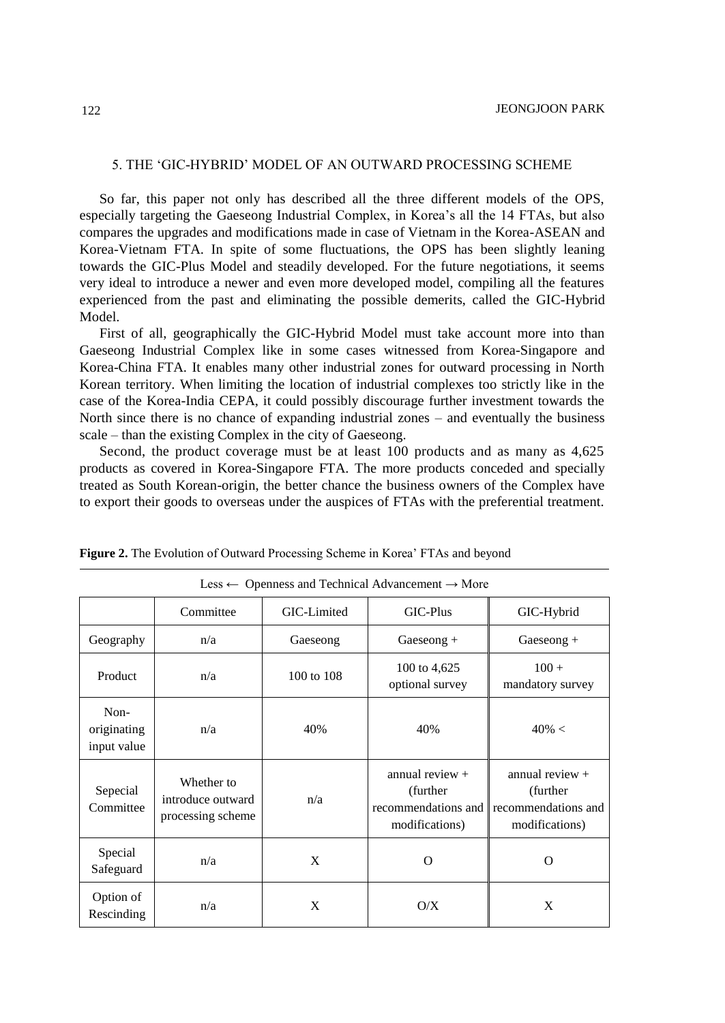# 5. THE 'GIC-HYBRID' MODEL OF AN OUTWARD PROCESSING SCHEME

So far, this paper not only has described all the three different models of the OPS, especially targeting the Gaeseong Industrial Complex, in Korea's all the 14 FTAs, but also compares the upgrades and modifications made in case of Vietnam in the Korea-ASEAN and Korea-Vietnam FTA. In spite of some fluctuations, the OPS has been slightly leaning towards the GIC-Plus Model and steadily developed. For the future negotiations, it seems very ideal to introduce a newer and even more developed model, compiling all the features experienced from the past and eliminating the possible demerits, called the GIC-Hybrid Model.

First of all, geographically the GIC-Hybrid Model must take account more into than Gaeseong Industrial Complex like in some cases witnessed from Korea-Singapore and Korea-China FTA. It enables many other industrial zones for outward processing in North Korean territory. When limiting the location of industrial complexes too strictly like in the case of the Korea-India CEPA, it could possibly discourage further investment towards the North since there is no chance of expanding industrial zones – and eventually the business scale – than the existing Complex in the city of Gaeseong.

Second, the product coverage must be at least 100 products and as many as 4,625 products as covered in Korea-Singapore FTA. The more products conceded and specially treated as South Korean-origin, the better chance the business owners of the Complex have to export their goods to overseas under the auspices of FTAs with the preferential treatment.

| Less $\leftarrow$ Openness and Technical Advancement $\rightarrow$ More |                                                      |             |                                                                       |                                                                         |  |  |  |  |  |  |
|-------------------------------------------------------------------------|------------------------------------------------------|-------------|-----------------------------------------------------------------------|-------------------------------------------------------------------------|--|--|--|--|--|--|
|                                                                         | Committee                                            | GIC-Limited | GIC-Plus                                                              | GIC-Hybrid                                                              |  |  |  |  |  |  |
| Geography                                                               | n/a                                                  | Gaeseong    | $Gaseong +$                                                           | Gaeseong $+$                                                            |  |  |  |  |  |  |
| Product                                                                 | n/a                                                  | 100 to 108  | 100 to 4,625<br>optional survey                                       | $100 +$<br>mandatory survey                                             |  |  |  |  |  |  |
| Non-<br>originating<br>input value                                      | n/a                                                  | 40%         | 40%                                                                   | $40\% <$                                                                |  |  |  |  |  |  |
| Sepecial<br>Committee                                                   | Whether to<br>introduce outward<br>processing scheme | n/a         | annual review +<br>(further)<br>recommendations and<br>modifications) | annual review $+$<br>(further)<br>recommendations and<br>modifications) |  |  |  |  |  |  |
| Special<br>Safeguard                                                    | n/a                                                  | X           | O                                                                     | O                                                                       |  |  |  |  |  |  |
| Option of<br>Rescinding                                                 | n/a                                                  | X           | O/X                                                                   | X                                                                       |  |  |  |  |  |  |

| Figure 2. The Evolution of Outward Processing Scheme in Korea' FTAs and beyond |  |  |  |
|--------------------------------------------------------------------------------|--|--|--|
|                                                                                |  |  |  |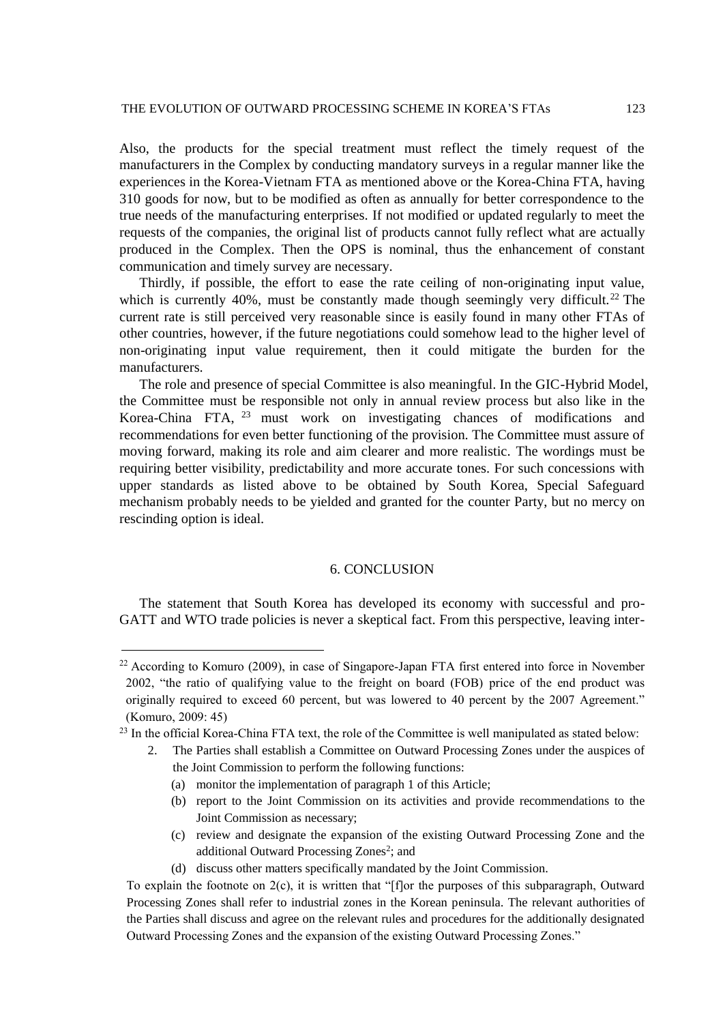Also, the products for the special treatment must reflect the timely request of the manufacturers in the Complex by conducting mandatory surveys in a regular manner like the experiences in the Korea-Vietnam FTA as mentioned above or the Korea-China FTA, having 310 goods for now, but to be modified as often as annually for better correspondence to the true needs of the manufacturing enterprises. If not modified or updated regularly to meet the requests of the companies, the original list of products cannot fully reflect what are actually produced in the Complex. Then the OPS is nominal, thus the enhancement of constant communication and timely survey are necessary.

Thirdly, if possible, the effort to ease the rate ceiling of non-originating input value, which is currently 40%, must be constantly made though seemingly very difficult.<sup>22</sup> The current rate is still perceived very reasonable since is easily found in many other FTAs of other countries, however, if the future negotiations could somehow lead to the higher level of non-originating input value requirement, then it could mitigate the burden for the manufacturers.

The role and presence of special Committee is also meaningful. In the GIC-Hybrid Model, the Committee must be responsible not only in annual review process but also like in the Korea-China FTA, <sup>23</sup> must work on investigating chances of modifications and recommendations for even better functioning of the provision. The Committee must assure of moving forward, making its role and aim clearer and more realistic. The wordings must be requiring better visibility, predictability and more accurate tones. For such concessions with upper standards as listed above to be obtained by South Korea, Special Safeguard mechanism probably needs to be yielded and granted for the counter Party, but no mercy on rescinding option is ideal.

### 6. CONCLUSION

The statement that South Korea has developed its economy with successful and pro-GATT and WTO trade policies is never a skeptical fact. From this perspective, leaving inter-

l

(d) discuss other matters specifically mandated by the Joint Commission.

<sup>22</sup> According to Komuro (2009), in case of Singapore-Japan FTA first entered into force in November 2002, "the ratio of qualifying value to the freight on board (FOB) price of the end product was originally required to exceed 60 percent, but was lowered to 40 percent by the 2007 Agreement." (Komuro, 2009: 45)

<sup>23</sup> In the official Korea-China FTA text, the role of the Committee is well manipulated as stated below:

<sup>2.</sup> The Parties shall establish a Committee on Outward Processing Zones under the auspices of the Joint Commission to perform the following functions:

<sup>(</sup>a) monitor the implementation of paragraph 1 of this Article;

<sup>(</sup>b) report to the Joint Commission on its activities and provide recommendations to the Joint Commission as necessary;

<sup>(</sup>c) review and designate the expansion of the existing Outward Processing Zone and the additional Outward Processing Zones<sup>2</sup>; and

To explain the footnote on 2(c), it is written that "[f]or the purposes of this subparagraph, Outward Processing Zones shall refer to industrial zones in the Korean peninsula. The relevant authorities of the Parties shall discuss and agree on the relevant rules and procedures for the additionally designated Outward Processing Zones and the expansion of the existing Outward Processing Zones."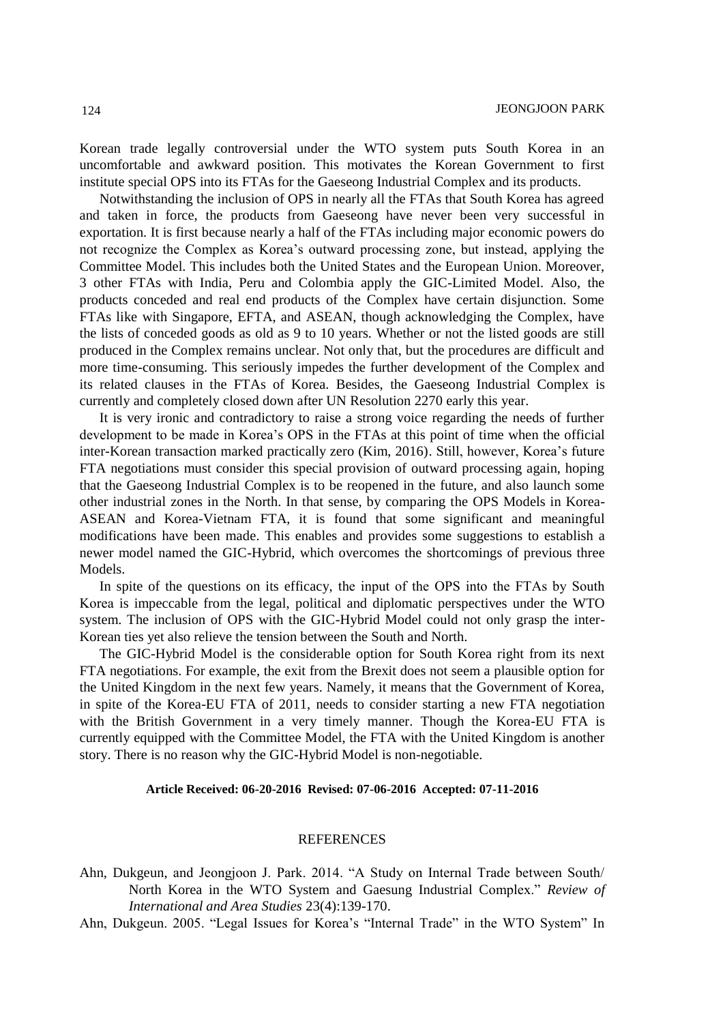Korean trade legally controversial under the WTO system puts South Korea in an uncomfortable and awkward position. This motivates the Korean Government to first institute special OPS into its FTAs for the Gaeseong Industrial Complex and its products.

Notwithstanding the inclusion of OPS in nearly all the FTAs that South Korea has agreed and taken in force, the products from Gaeseong have never been very successful in exportation. It is first because nearly a half of the FTAs including major economic powers do not recognize the Complex as Korea's outward processing zone, but instead, applying the Committee Model. This includes both the United States and the European Union. Moreover, 3 other FTAs with India, Peru and Colombia apply the GIC-Limited Model. Also, the products conceded and real end products of the Complex have certain disjunction. Some FTAs like with Singapore, EFTA, and ASEAN, though acknowledging the Complex, have the lists of conceded goods as old as 9 to 10 years. Whether or not the listed goods are still produced in the Complex remains unclear. Not only that, but the procedures are difficult and more time-consuming. This seriously impedes the further development of the Complex and its related clauses in the FTAs of Korea. Besides, the Gaeseong Industrial Complex is currently and completely closed down after UN Resolution 2270 early this year.

It is very ironic and contradictory to raise a strong voice regarding the needs of further development to be made in Korea's OPS in the FTAs at this point of time when the official inter-Korean transaction marked practically zero (Kim, 2016). Still, however, Korea's future FTA negotiations must consider this special provision of outward processing again, hoping that the Gaeseong Industrial Complex is to be reopened in the future, and also launch some other industrial zones in the North. In that sense, by comparing the OPS Models in Korea-ASEAN and Korea-Vietnam FTA, it is found that some significant and meaningful modifications have been made. This enables and provides some suggestions to establish a newer model named the GIC-Hybrid, which overcomes the shortcomings of previous three Models.

In spite of the questions on its efficacy, the input of the OPS into the FTAs by South Korea is impeccable from the legal, political and diplomatic perspectives under the WTO system. The inclusion of OPS with the GIC-Hybrid Model could not only grasp the inter-Korean ties yet also relieve the tension between the South and North.

The GIC-Hybrid Model is the considerable option for South Korea right from its next FTA negotiations. For example, the exit from the Brexit does not seem a plausible option for the United Kingdom in the next few years. Namely, it means that the Government of Korea, in spite of the Korea-EU FTA of 2011, needs to consider starting a new FTA negotiation with the British Government in a very timely manner. Though the Korea-EU FTA is currently equipped with the Committee Model, the FTA with the United Kingdom is another story. There is no reason why the GIC-Hybrid Model is non-negotiable.

#### **Article Received: 06-20-2016 Revised: 07-06-2016 Accepted: 07-11-2016**

### **REFERENCES**

- Ahn, Dukgeun, and Jeongjoon J. Park. 2014. "A Study on Internal Trade between South/ North Korea in the WTO System and Gaesung Industrial Complex." *Review of International and Area Studies* 23(4):139-170.
- Ahn, Dukgeun. 2005. "Legal Issues for Korea's "Internal Trade" in the WTO System" In